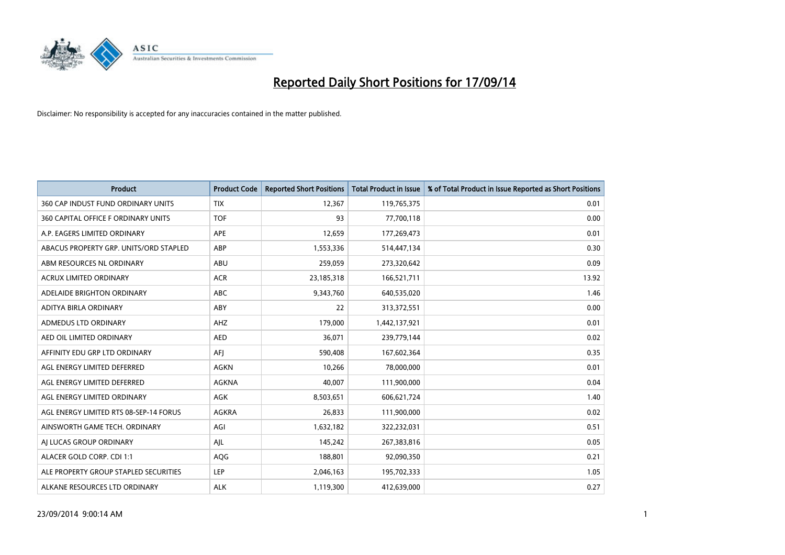

| <b>Product</b>                         | <b>Product Code</b> | <b>Reported Short Positions</b> | <b>Total Product in Issue</b> | % of Total Product in Issue Reported as Short Positions |
|----------------------------------------|---------------------|---------------------------------|-------------------------------|---------------------------------------------------------|
| 360 CAP INDUST FUND ORDINARY UNITS     | <b>TIX</b>          | 12,367                          | 119,765,375                   | 0.01                                                    |
| 360 CAPITAL OFFICE F ORDINARY UNITS    | <b>TOF</b>          | 93                              | 77,700,118                    | 0.00                                                    |
| A.P. EAGERS LIMITED ORDINARY           | APE                 | 12,659                          | 177,269,473                   | 0.01                                                    |
| ABACUS PROPERTY GRP. UNITS/ORD STAPLED | ABP                 | 1,553,336                       | 514,447,134                   | 0.30                                                    |
| ABM RESOURCES NL ORDINARY              | ABU                 | 259,059                         | 273,320,642                   | 0.09                                                    |
| <b>ACRUX LIMITED ORDINARY</b>          | <b>ACR</b>          | 23,185,318                      | 166,521,711                   | 13.92                                                   |
| ADELAIDE BRIGHTON ORDINARY             | <b>ABC</b>          | 9,343,760                       | 640,535,020                   | 1.46                                                    |
| ADITYA BIRLA ORDINARY                  | ABY                 | 22                              | 313,372,551                   | 0.00                                                    |
| ADMEDUS LTD ORDINARY                   | AHZ                 | 179,000                         | 1,442,137,921                 | 0.01                                                    |
| AED OIL LIMITED ORDINARY               | <b>AED</b>          | 36,071                          | 239,779,144                   | 0.02                                                    |
| AFFINITY EDU GRP LTD ORDINARY          | AFI                 | 590,408                         | 167,602,364                   | 0.35                                                    |
| AGL ENERGY LIMITED DEFERRED            | AGKN                | 10,266                          | 78,000,000                    | 0.01                                                    |
| AGL ENERGY LIMITED DEFERRED            | AGKNA               | 40,007                          | 111,900,000                   | 0.04                                                    |
| AGL ENERGY LIMITED ORDINARY            | AGK                 | 8,503,651                       | 606,621,724                   | 1.40                                                    |
| AGL ENERGY LIMITED RTS 08-SEP-14 FORUS | <b>AGKRA</b>        | 26,833                          | 111,900,000                   | 0.02                                                    |
| AINSWORTH GAME TECH. ORDINARY          | AGI                 | 1,632,182                       | 322,232,031                   | 0.51                                                    |
| AI LUCAS GROUP ORDINARY                | AJL                 | 145,242                         | 267,383,816                   | 0.05                                                    |
| ALACER GOLD CORP. CDI 1:1              | AQG                 | 188,801                         | 92,090,350                    | 0.21                                                    |
| ALE PROPERTY GROUP STAPLED SECURITIES  | <b>LEP</b>          | 2,046,163                       | 195,702,333                   | 1.05                                                    |
| ALKANE RESOURCES LTD ORDINARY          | <b>ALK</b>          | 1,119,300                       | 412,639,000                   | 0.27                                                    |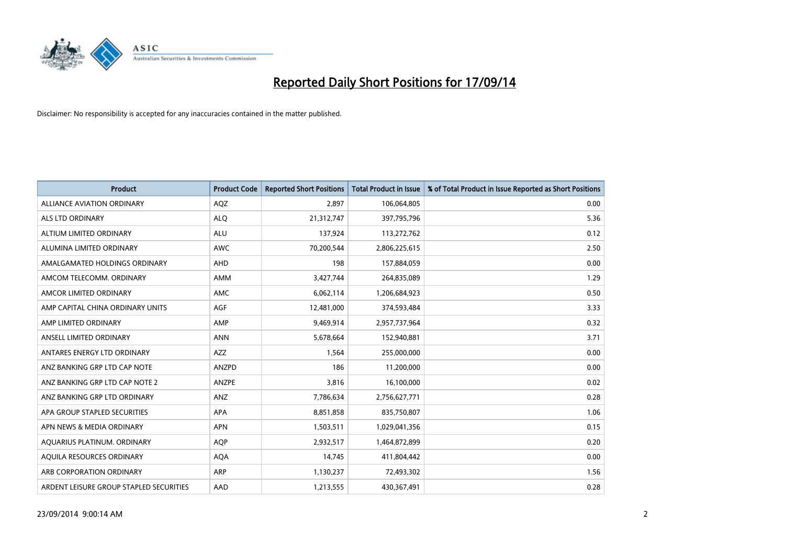

| <b>Product</b>                          | <b>Product Code</b> | <b>Reported Short Positions</b> | <b>Total Product in Issue</b> | % of Total Product in Issue Reported as Short Positions |
|-----------------------------------------|---------------------|---------------------------------|-------------------------------|---------------------------------------------------------|
| <b>ALLIANCE AVIATION ORDINARY</b>       | AQZ                 | 2.897                           | 106,064,805                   | 0.00                                                    |
| ALS LTD ORDINARY                        | <b>ALQ</b>          | 21,312,747                      | 397,795,796                   | 5.36                                                    |
| ALTIUM LIMITED ORDINARY                 | <b>ALU</b>          | 137,924                         | 113,272,762                   | 0.12                                                    |
| ALUMINA LIMITED ORDINARY                | <b>AWC</b>          | 70,200,544                      | 2,806,225,615                 | 2.50                                                    |
| AMALGAMATED HOLDINGS ORDINARY           | AHD                 | 198                             | 157,884,059                   | 0.00                                                    |
| AMCOM TELECOMM, ORDINARY                | <b>AMM</b>          | 3,427,744                       | 264,835,089                   | 1.29                                                    |
| AMCOR LIMITED ORDINARY                  | AMC                 | 6,062,114                       | 1,206,684,923                 | 0.50                                                    |
| AMP CAPITAL CHINA ORDINARY UNITS        | <b>AGF</b>          | 12,481,000                      | 374,593,484                   | 3.33                                                    |
| AMP LIMITED ORDINARY                    | AMP                 | 9,469,914                       | 2,957,737,964                 | 0.32                                                    |
| ANSELL LIMITED ORDINARY                 | <b>ANN</b>          | 5,678,664                       | 152,940,881                   | 3.71                                                    |
| ANTARES ENERGY LTD ORDINARY             | <b>AZZ</b>          | 1,564                           | 255,000,000                   | 0.00                                                    |
| ANZ BANKING GRP LTD CAP NOTE            | ANZPD               | 186                             | 11,200,000                    | 0.00                                                    |
| ANZ BANKING GRP LTD CAP NOTE 2          | <b>ANZPE</b>        | 3,816                           | 16,100,000                    | 0.02                                                    |
| ANZ BANKING GRP LTD ORDINARY            | ANZ                 | 7,786,634                       | 2,756,627,771                 | 0.28                                                    |
| APA GROUP STAPLED SECURITIES            | <b>APA</b>          | 8,851,858                       | 835,750,807                   | 1.06                                                    |
| APN NEWS & MEDIA ORDINARY               | <b>APN</b>          | 1,503,511                       | 1,029,041,356                 | 0.15                                                    |
| AQUARIUS PLATINUM. ORDINARY             | <b>AQP</b>          | 2,932,517                       | 1,464,872,899                 | 0.20                                                    |
| AQUILA RESOURCES ORDINARY               | <b>AQA</b>          | 14,745                          | 411,804,442                   | 0.00                                                    |
| ARB CORPORATION ORDINARY                | <b>ARP</b>          | 1,130,237                       | 72,493,302                    | 1.56                                                    |
| ARDENT LEISURE GROUP STAPLED SECURITIES | AAD                 | 1,213,555                       | 430,367,491                   | 0.28                                                    |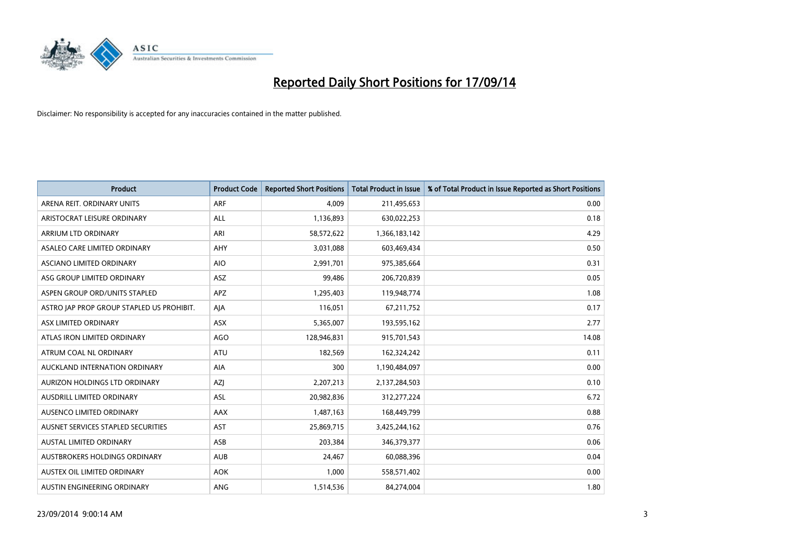

| <b>Product</b>                            | <b>Product Code</b> | <b>Reported Short Positions</b> | <b>Total Product in Issue</b> | % of Total Product in Issue Reported as Short Positions |
|-------------------------------------------|---------------------|---------------------------------|-------------------------------|---------------------------------------------------------|
| ARENA REIT. ORDINARY UNITS                | <b>ARF</b>          | 4,009                           | 211,495,653                   | 0.00                                                    |
| ARISTOCRAT LEISURE ORDINARY               | ALL                 | 1,136,893                       | 630,022,253                   | 0.18                                                    |
| ARRIUM LTD ORDINARY                       | ARI                 | 58,572,622                      | 1,366,183,142                 | 4.29                                                    |
| ASALEO CARE LIMITED ORDINARY              | AHY                 | 3,031,088                       | 603,469,434                   | 0.50                                                    |
| ASCIANO LIMITED ORDINARY                  | <b>AIO</b>          | 2,991,701                       | 975,385,664                   | 0.31                                                    |
| ASG GROUP LIMITED ORDINARY                | ASZ                 | 99,486                          | 206,720,839                   | 0.05                                                    |
| ASPEN GROUP ORD/UNITS STAPLED             | APZ                 | 1,295,403                       | 119,948,774                   | 1.08                                                    |
| ASTRO JAP PROP GROUP STAPLED US PROHIBIT. | AJA                 | 116,051                         | 67,211,752                    | 0.17                                                    |
| ASX LIMITED ORDINARY                      | ASX                 | 5,365,007                       | 193,595,162                   | 2.77                                                    |
| ATLAS IRON LIMITED ORDINARY               | AGO                 | 128,946,831                     | 915,701,543                   | 14.08                                                   |
| ATRUM COAL NL ORDINARY                    | ATU                 | 182,569                         | 162,324,242                   | 0.11                                                    |
| AUCKLAND INTERNATION ORDINARY             | AIA                 | 300                             | 1,190,484,097                 | 0.00                                                    |
| AURIZON HOLDINGS LTD ORDINARY             | <b>AZI</b>          | 2,207,213                       | 2,137,284,503                 | 0.10                                                    |
| AUSDRILL LIMITED ORDINARY                 | ASL                 | 20,982,836                      | 312,277,224                   | 6.72                                                    |
| AUSENCO LIMITED ORDINARY                  | AAX                 | 1,487,163                       | 168,449,799                   | 0.88                                                    |
| AUSNET SERVICES STAPLED SECURITIES        | <b>AST</b>          | 25,869,715                      | 3,425,244,162                 | 0.76                                                    |
| AUSTAL LIMITED ORDINARY                   | ASB                 | 203,384                         | 346,379,377                   | 0.06                                                    |
| AUSTBROKERS HOLDINGS ORDINARY             | <b>AUB</b>          | 24,467                          | 60,088,396                    | 0.04                                                    |
| AUSTEX OIL LIMITED ORDINARY               | <b>AOK</b>          | 1,000                           | 558,571,402                   | 0.00                                                    |
| AUSTIN ENGINEERING ORDINARY               | ANG                 | 1,514,536                       | 84,274,004                    | 1.80                                                    |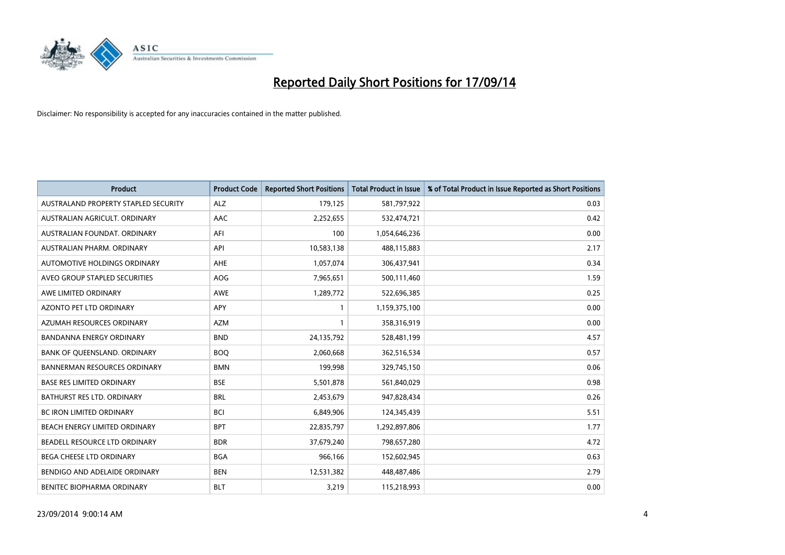

| <b>Product</b>                       | <b>Product Code</b> | <b>Reported Short Positions</b> | <b>Total Product in Issue</b> | % of Total Product in Issue Reported as Short Positions |
|--------------------------------------|---------------------|---------------------------------|-------------------------------|---------------------------------------------------------|
| AUSTRALAND PROPERTY STAPLED SECURITY | <b>ALZ</b>          | 179,125                         | 581,797,922                   | 0.03                                                    |
| AUSTRALIAN AGRICULT. ORDINARY        | AAC                 | 2,252,655                       | 532,474,721                   | 0.42                                                    |
| AUSTRALIAN FOUNDAT, ORDINARY         | AFI                 | 100                             | 1,054,646,236                 | 0.00                                                    |
| AUSTRALIAN PHARM, ORDINARY           | API                 | 10,583,138                      | 488,115,883                   | 2.17                                                    |
| AUTOMOTIVE HOLDINGS ORDINARY         | AHE                 | 1,057,074                       | 306,437,941                   | 0.34                                                    |
| AVEO GROUP STAPLED SECURITIES        | <b>AOG</b>          | 7,965,651                       | 500,111,460                   | 1.59                                                    |
| AWE LIMITED ORDINARY                 | AWE                 | 1,289,772                       | 522,696,385                   | 0.25                                                    |
| AZONTO PET LTD ORDINARY              | APY                 | 1                               | 1,159,375,100                 | 0.00                                                    |
| AZUMAH RESOURCES ORDINARY            | <b>AZM</b>          | $\mathbf{1}$                    | 358,316,919                   | 0.00                                                    |
| <b>BANDANNA ENERGY ORDINARY</b>      | <b>BND</b>          | 24,135,792                      | 528,481,199                   | 4.57                                                    |
| BANK OF QUEENSLAND. ORDINARY         | <b>BOQ</b>          | 2,060,668                       | 362,516,534                   | 0.57                                                    |
| <b>BANNERMAN RESOURCES ORDINARY</b>  | <b>BMN</b>          | 199,998                         | 329,745,150                   | 0.06                                                    |
| <b>BASE RES LIMITED ORDINARY</b>     | <b>BSE</b>          | 5,501,878                       | 561,840,029                   | 0.98                                                    |
| <b>BATHURST RES LTD. ORDINARY</b>    | <b>BRL</b>          | 2,453,679                       | 947,828,434                   | 0.26                                                    |
| <b>BC IRON LIMITED ORDINARY</b>      | <b>BCI</b>          | 6,849,906                       | 124,345,439                   | 5.51                                                    |
| BEACH ENERGY LIMITED ORDINARY        | <b>BPT</b>          | 22,835,797                      | 1,292,897,806                 | 1.77                                                    |
| BEADELL RESOURCE LTD ORDINARY        | <b>BDR</b>          | 37,679,240                      | 798,657,280                   | 4.72                                                    |
| <b>BEGA CHEESE LTD ORDINARY</b>      | <b>BGA</b>          | 966,166                         | 152,602,945                   | 0.63                                                    |
| BENDIGO AND ADELAIDE ORDINARY        | <b>BEN</b>          | 12,531,382                      | 448,487,486                   | 2.79                                                    |
| <b>BENITEC BIOPHARMA ORDINARY</b>    | BLT                 | 3,219                           | 115,218,993                   | 0.00                                                    |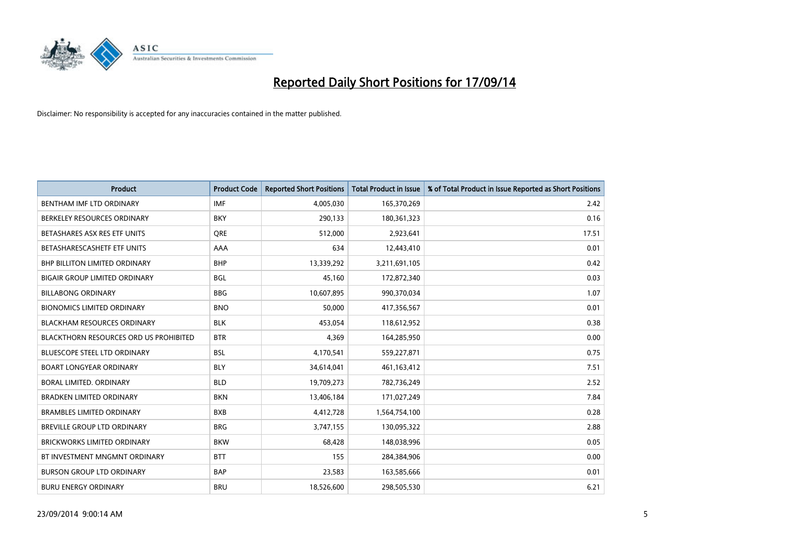

| <b>Product</b>                                | <b>Product Code</b> | <b>Reported Short Positions</b> | <b>Total Product in Issue</b> | % of Total Product in Issue Reported as Short Positions |
|-----------------------------------------------|---------------------|---------------------------------|-------------------------------|---------------------------------------------------------|
| BENTHAM IMF LTD ORDINARY                      | <b>IMF</b>          | 4,005,030                       | 165,370,269                   | 2.42                                                    |
| BERKELEY RESOURCES ORDINARY                   | <b>BKY</b>          | 290,133                         | 180,361,323                   | 0.16                                                    |
| BETASHARES ASX RES ETF UNITS                  | <b>ORE</b>          | 512,000                         | 2,923,641                     | 17.51                                                   |
| BETASHARESCASHETF ETF UNITS                   | AAA                 | 634                             | 12,443,410                    | 0.01                                                    |
| <b>BHP BILLITON LIMITED ORDINARY</b>          | <b>BHP</b>          | 13,339,292                      | 3,211,691,105                 | 0.42                                                    |
| <b>BIGAIR GROUP LIMITED ORDINARY</b>          | <b>BGL</b>          | 45,160                          | 172,872,340                   | 0.03                                                    |
| <b>BILLABONG ORDINARY</b>                     | <b>BBG</b>          | 10,607,895                      | 990,370,034                   | 1.07                                                    |
| <b>BIONOMICS LIMITED ORDINARY</b>             | <b>BNO</b>          | 50,000                          | 417,356,567                   | 0.01                                                    |
| <b>BLACKHAM RESOURCES ORDINARY</b>            | <b>BLK</b>          | 453,054                         | 118,612,952                   | 0.38                                                    |
| <b>BLACKTHORN RESOURCES ORD US PROHIBITED</b> | <b>BTR</b>          | 4,369                           | 164,285,950                   | 0.00                                                    |
| BLUESCOPE STEEL LTD ORDINARY                  | <b>BSL</b>          | 4,170,541                       | 559,227,871                   | 0.75                                                    |
| <b>BOART LONGYEAR ORDINARY</b>                | <b>BLY</b>          | 34,614,041                      | 461,163,412                   | 7.51                                                    |
| BORAL LIMITED, ORDINARY                       | <b>BLD</b>          | 19,709,273                      | 782,736,249                   | 2.52                                                    |
| <b>BRADKEN LIMITED ORDINARY</b>               | <b>BKN</b>          | 13,406,184                      | 171,027,249                   | 7.84                                                    |
| <b>BRAMBLES LIMITED ORDINARY</b>              | <b>BXB</b>          | 4,412,728                       | 1,564,754,100                 | 0.28                                                    |
| BREVILLE GROUP LTD ORDINARY                   | <b>BRG</b>          | 3,747,155                       | 130,095,322                   | 2.88                                                    |
| BRICKWORKS LIMITED ORDINARY                   | <b>BKW</b>          | 68,428                          | 148,038,996                   | 0.05                                                    |
| BT INVESTMENT MNGMNT ORDINARY                 | <b>BTT</b>          | 155                             | 284,384,906                   | 0.00                                                    |
| <b>BURSON GROUP LTD ORDINARY</b>              | <b>BAP</b>          | 23,583                          | 163,585,666                   | 0.01                                                    |
| <b>BURU ENERGY ORDINARY</b>                   | <b>BRU</b>          | 18,526,600                      | 298,505,530                   | 6.21                                                    |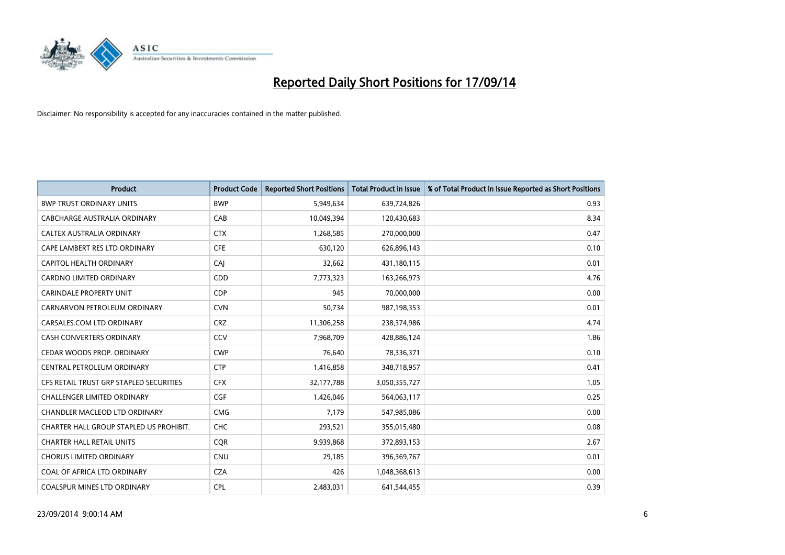

| <b>Product</b>                          | <b>Product Code</b> | <b>Reported Short Positions</b> | <b>Total Product in Issue</b> | % of Total Product in Issue Reported as Short Positions |
|-----------------------------------------|---------------------|---------------------------------|-------------------------------|---------------------------------------------------------|
| <b>BWP TRUST ORDINARY UNITS</b>         | <b>BWP</b>          | 5,949,634                       | 639,724,826                   | 0.93                                                    |
| CABCHARGE AUSTRALIA ORDINARY            | CAB                 | 10,049,394                      | 120,430,683                   | 8.34                                                    |
| <b>CALTEX AUSTRALIA ORDINARY</b>        | <b>CTX</b>          | 1,268,585                       | 270,000,000                   | 0.47                                                    |
| CAPE LAMBERT RES LTD ORDINARY           | <b>CFE</b>          | 630,120                         | 626,896,143                   | 0.10                                                    |
| CAPITOL HEALTH ORDINARY                 | CAI                 | 32,662                          | 431,180,115                   | 0.01                                                    |
| <b>CARDNO LIMITED ORDINARY</b>          | CDD                 | 7,773,323                       | 163,266,973                   | 4.76                                                    |
| <b>CARINDALE PROPERTY UNIT</b>          | <b>CDP</b>          | 945                             | 70,000,000                    | 0.00                                                    |
| CARNARVON PETROLEUM ORDINARY            | <b>CVN</b>          | 50,734                          | 987,198,353                   | 0.01                                                    |
| CARSALES.COM LTD ORDINARY               | <b>CRZ</b>          | 11,306,258                      | 238,374,986                   | 4.74                                                    |
| <b>CASH CONVERTERS ORDINARY</b>         | CCV                 | 7,968,709                       | 428,886,124                   | 1.86                                                    |
| CEDAR WOODS PROP. ORDINARY              | <b>CWP</b>          | 76,640                          | 78,336,371                    | 0.10                                                    |
| CENTRAL PETROLEUM ORDINARY              | <b>CTP</b>          | 1,416,858                       | 348,718,957                   | 0.41                                                    |
| CFS RETAIL TRUST GRP STAPLED SECURITIES | <b>CFX</b>          | 32,177,788                      | 3,050,355,727                 | 1.05                                                    |
| <b>CHALLENGER LIMITED ORDINARY</b>      | <b>CGF</b>          | 1,426,046                       | 564,063,117                   | 0.25                                                    |
| CHANDLER MACLEOD LTD ORDINARY           | <b>CMG</b>          | 7,179                           | 547,985,086                   | 0.00                                                    |
| CHARTER HALL GROUP STAPLED US PROHIBIT. | <b>CHC</b>          | 293,521                         | 355,015,480                   | 0.08                                                    |
| <b>CHARTER HALL RETAIL UNITS</b>        | <b>CQR</b>          | 9,939,868                       | 372,893,153                   | 2.67                                                    |
| <b>CHORUS LIMITED ORDINARY</b>          | <b>CNU</b>          | 29,185                          | 396,369,767                   | 0.01                                                    |
| COAL OF AFRICA LTD ORDINARY             | <b>CZA</b>          | 426                             | 1,048,368,613                 | 0.00                                                    |
| <b>COALSPUR MINES LTD ORDINARY</b>      | <b>CPL</b>          | 2,483,031                       | 641,544,455                   | 0.39                                                    |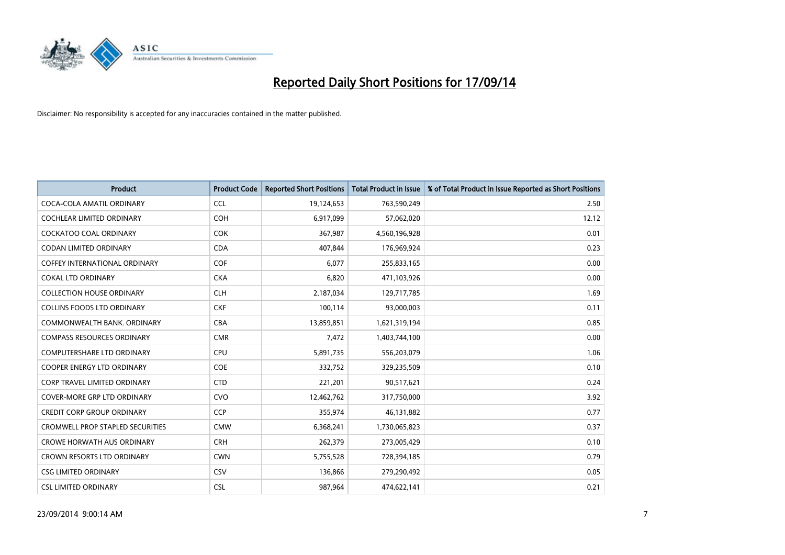

| <b>Product</b>                          | <b>Product Code</b> | <b>Reported Short Positions</b> | <b>Total Product in Issue</b> | % of Total Product in Issue Reported as Short Positions |
|-----------------------------------------|---------------------|---------------------------------|-------------------------------|---------------------------------------------------------|
| COCA-COLA AMATIL ORDINARY               | <b>CCL</b>          | 19,124,653                      | 763,590,249                   | 2.50                                                    |
| COCHLEAR LIMITED ORDINARY               | <b>COH</b>          | 6,917,099                       | 57,062,020                    | 12.12                                                   |
| COCKATOO COAL ORDINARY                  | <b>COK</b>          | 367,987                         | 4,560,196,928                 | 0.01                                                    |
| <b>CODAN LIMITED ORDINARY</b>           | <b>CDA</b>          | 407,844                         | 176,969,924                   | 0.23                                                    |
| COFFEY INTERNATIONAL ORDINARY           | <b>COF</b>          | 6,077                           | 255,833,165                   | 0.00                                                    |
| <b>COKAL LTD ORDINARY</b>               | <b>CKA</b>          | 6,820                           | 471,103,926                   | 0.00                                                    |
| <b>COLLECTION HOUSE ORDINARY</b>        | <b>CLH</b>          | 2,187,034                       | 129,717,785                   | 1.69                                                    |
| <b>COLLINS FOODS LTD ORDINARY</b>       | <b>CKF</b>          | 100,114                         | 93,000,003                    | 0.11                                                    |
| COMMONWEALTH BANK, ORDINARY             | <b>CBA</b>          | 13,859,851                      | 1,621,319,194                 | 0.85                                                    |
| <b>COMPASS RESOURCES ORDINARY</b>       | <b>CMR</b>          | 7,472                           | 1,403,744,100                 | 0.00                                                    |
| COMPUTERSHARE LTD ORDINARY              | <b>CPU</b>          | 5,891,735                       | 556,203,079                   | 1.06                                                    |
| <b>COOPER ENERGY LTD ORDINARY</b>       | <b>COE</b>          | 332,752                         | 329,235,509                   | 0.10                                                    |
| <b>CORP TRAVEL LIMITED ORDINARY</b>     | <b>CTD</b>          | 221,201                         | 90,517,621                    | 0.24                                                    |
| <b>COVER-MORE GRP LTD ORDINARY</b>      | <b>CVO</b>          | 12,462,762                      | 317,750,000                   | 3.92                                                    |
| <b>CREDIT CORP GROUP ORDINARY</b>       | <b>CCP</b>          | 355,974                         | 46,131,882                    | 0.77                                                    |
| <b>CROMWELL PROP STAPLED SECURITIES</b> | <b>CMW</b>          | 6,368,241                       | 1,730,065,823                 | 0.37                                                    |
| <b>CROWE HORWATH AUS ORDINARY</b>       | <b>CRH</b>          | 262,379                         | 273,005,429                   | 0.10                                                    |
| CROWN RESORTS LTD ORDINARY              | <b>CWN</b>          | 5,755,528                       | 728,394,185                   | 0.79                                                    |
| <b>CSG LIMITED ORDINARY</b>             | CSV                 | 136,866                         | 279,290,492                   | 0.05                                                    |
| <b>CSL LIMITED ORDINARY</b>             | <b>CSL</b>          | 987,964                         | 474,622,141                   | 0.21                                                    |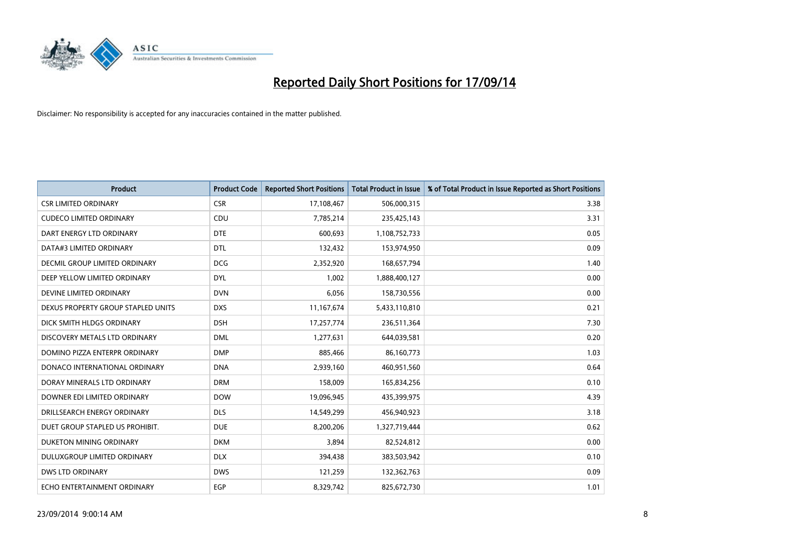

| <b>Product</b>                     | <b>Product Code</b> | <b>Reported Short Positions</b> | <b>Total Product in Issue</b> | % of Total Product in Issue Reported as Short Positions |
|------------------------------------|---------------------|---------------------------------|-------------------------------|---------------------------------------------------------|
| <b>CSR LIMITED ORDINARY</b>        | <b>CSR</b>          | 17,108,467                      | 506,000,315                   | 3.38                                                    |
| <b>CUDECO LIMITED ORDINARY</b>     | <b>CDU</b>          | 7,785,214                       | 235,425,143                   | 3.31                                                    |
| DART ENERGY LTD ORDINARY           | <b>DTE</b>          | 600,693                         | 1,108,752,733                 | 0.05                                                    |
| DATA#3 LIMITED ORDINARY            | <b>DTL</b>          | 132,432                         | 153,974,950                   | 0.09                                                    |
| DECMIL GROUP LIMITED ORDINARY      | <b>DCG</b>          | 2,352,920                       | 168,657,794                   | 1.40                                                    |
| DEEP YELLOW LIMITED ORDINARY       | <b>DYL</b>          | 1,002                           | 1,888,400,127                 | 0.00                                                    |
| DEVINE LIMITED ORDINARY            | <b>DVN</b>          | 6,056                           | 158,730,556                   | 0.00                                                    |
| DEXUS PROPERTY GROUP STAPLED UNITS | <b>DXS</b>          | 11,167,674                      | 5,433,110,810                 | 0.21                                                    |
| DICK SMITH HLDGS ORDINARY          | <b>DSH</b>          | 17,257,774                      | 236,511,364                   | 7.30                                                    |
| DISCOVERY METALS LTD ORDINARY      | <b>DML</b>          | 1,277,631                       | 644,039,581                   | 0.20                                                    |
| DOMINO PIZZA ENTERPR ORDINARY      | <b>DMP</b>          | 885,466                         | 86,160,773                    | 1.03                                                    |
| DONACO INTERNATIONAL ORDINARY      | <b>DNA</b>          | 2,939,160                       | 460,951,560                   | 0.64                                                    |
| DORAY MINERALS LTD ORDINARY        | <b>DRM</b>          | 158,009                         | 165,834,256                   | 0.10                                                    |
| DOWNER EDI LIMITED ORDINARY        | <b>DOW</b>          | 19,096,945                      | 435,399,975                   | 4.39                                                    |
| DRILLSEARCH ENERGY ORDINARY        | <b>DLS</b>          | 14,549,299                      | 456,940,923                   | 3.18                                                    |
| DUET GROUP STAPLED US PROHIBIT.    | <b>DUE</b>          | 8,200,206                       | 1,327,719,444                 | 0.62                                                    |
| DUKETON MINING ORDINARY            | <b>DKM</b>          | 3,894                           | 82,524,812                    | 0.00                                                    |
| <b>DULUXGROUP LIMITED ORDINARY</b> | <b>DLX</b>          | 394,438                         | 383,503,942                   | 0.10                                                    |
| DWS LTD ORDINARY                   | <b>DWS</b>          | 121,259                         | 132,362,763                   | 0.09                                                    |
| ECHO ENTERTAINMENT ORDINARY        | <b>EGP</b>          | 8,329,742                       | 825,672,730                   | 1.01                                                    |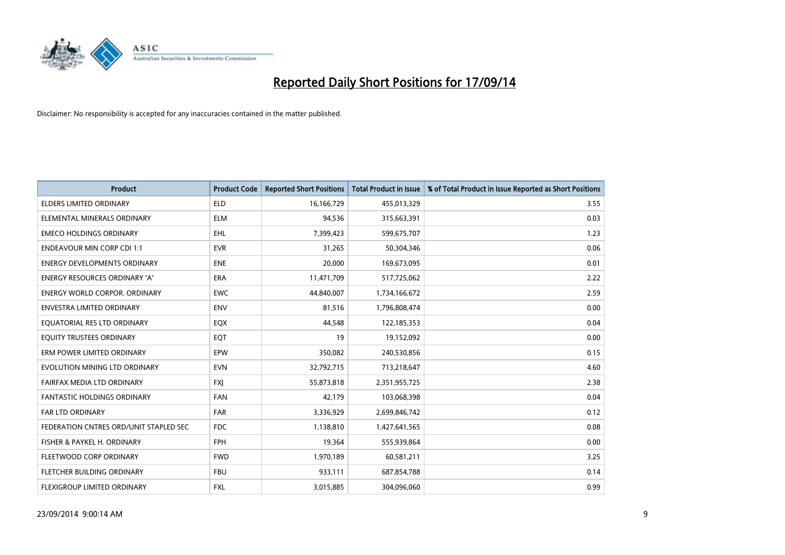

| <b>Product</b>                         | <b>Product Code</b> | <b>Reported Short Positions</b> | <b>Total Product in Issue</b> | % of Total Product in Issue Reported as Short Positions |
|----------------------------------------|---------------------|---------------------------------|-------------------------------|---------------------------------------------------------|
| <b>ELDERS LIMITED ORDINARY</b>         | <b>ELD</b>          | 16,166,729                      | 455,013,329                   | 3.55                                                    |
| ELEMENTAL MINERALS ORDINARY            | ELM                 | 94,536                          | 315,663,391                   | 0.03                                                    |
| <b>EMECO HOLDINGS ORDINARY</b>         | <b>EHL</b>          | 7,399,423                       | 599,675,707                   | 1.23                                                    |
| <b>ENDEAVOUR MIN CORP CDI 1:1</b>      | <b>EVR</b>          | 31,265                          | 50,304,346                    | 0.06                                                    |
| <b>ENERGY DEVELOPMENTS ORDINARY</b>    | <b>ENE</b>          | 20,000                          | 169,673,095                   | 0.01                                                    |
| ENERGY RESOURCES ORDINARY 'A'          | <b>ERA</b>          | 11,471,709                      | 517,725,062                   | 2.22                                                    |
| ENERGY WORLD CORPOR. ORDINARY          | <b>EWC</b>          | 44,840,007                      | 1,734,166,672                 | 2.59                                                    |
| ENVESTRA LIMITED ORDINARY              | ENV                 | 81,516                          | 1,796,808,474                 | 0.00                                                    |
| EQUATORIAL RES LTD ORDINARY            | EQX                 | 44,548                          | 122,185,353                   | 0.04                                                    |
| EQUITY TRUSTEES ORDINARY               | EQT                 | 19                              | 19,152,092                    | 0.00                                                    |
| ERM POWER LIMITED ORDINARY             | <b>EPW</b>          | 350,082                         | 240,530,856                   | 0.15                                                    |
| EVOLUTION MINING LTD ORDINARY          | <b>EVN</b>          | 32,792,715                      | 713,218,647                   | 4.60                                                    |
| FAIRFAX MEDIA LTD ORDINARY             | <b>FXI</b>          | 55,873,818                      | 2,351,955,725                 | 2.38                                                    |
| <b>FANTASTIC HOLDINGS ORDINARY</b>     | <b>FAN</b>          | 42,179                          | 103,068,398                   | 0.04                                                    |
| FAR LTD ORDINARY                       | <b>FAR</b>          | 3,336,929                       | 2,699,846,742                 | 0.12                                                    |
| FEDERATION CNTRES ORD/UNIT STAPLED SEC | <b>FDC</b>          | 1,138,810                       | 1,427,641,565                 | 0.08                                                    |
| FISHER & PAYKEL H. ORDINARY            | FPH                 | 19,364                          | 555,939,864                   | 0.00                                                    |
| FLEETWOOD CORP ORDINARY                | <b>FWD</b>          | 1,970,189                       | 60,581,211                    | 3.25                                                    |
| FLETCHER BUILDING ORDINARY             | <b>FBU</b>          | 933,111                         | 687,854,788                   | 0.14                                                    |
| <b>FLEXIGROUP LIMITED ORDINARY</b>     | FXL                 | 3,015,885                       | 304,096,060                   | 0.99                                                    |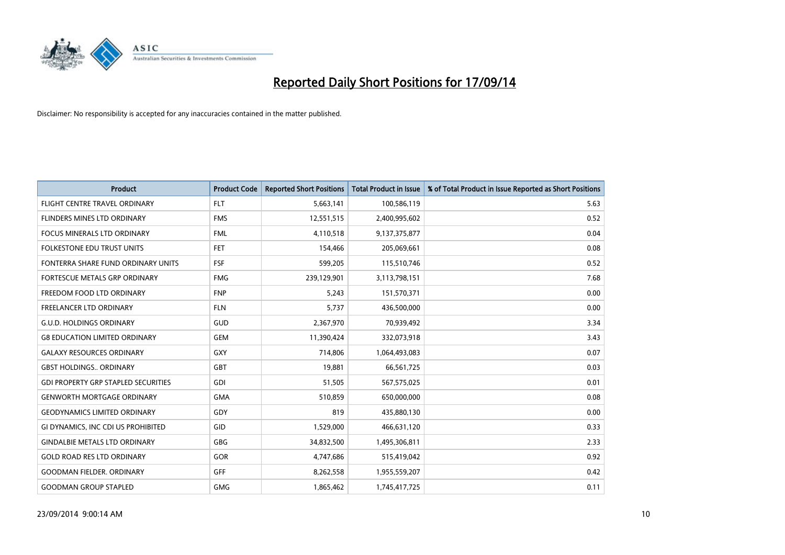

| <b>Product</b>                             | <b>Product Code</b> | <b>Reported Short Positions</b> | <b>Total Product in Issue</b> | % of Total Product in Issue Reported as Short Positions |
|--------------------------------------------|---------------------|---------------------------------|-------------------------------|---------------------------------------------------------|
| FLIGHT CENTRE TRAVEL ORDINARY              | <b>FLT</b>          | 5,663,141                       | 100,586,119                   | 5.63                                                    |
| FLINDERS MINES LTD ORDINARY                | <b>FMS</b>          | 12,551,515                      | 2,400,995,602                 | 0.52                                                    |
| <b>FOCUS MINERALS LTD ORDINARY</b>         | <b>FML</b>          | 4,110,518                       | 9,137,375,877                 | 0.04                                                    |
| FOLKESTONE EDU TRUST UNITS                 | <b>FET</b>          | 154,466                         | 205,069,661                   | 0.08                                                    |
| FONTERRA SHARE FUND ORDINARY UNITS         | <b>FSF</b>          | 599,205                         | 115,510,746                   | 0.52                                                    |
| FORTESCUE METALS GRP ORDINARY              | <b>FMG</b>          | 239,129,901                     | 3,113,798,151                 | 7.68                                                    |
| FREEDOM FOOD LTD ORDINARY                  | <b>FNP</b>          | 5,243                           | 151,570,371                   | 0.00                                                    |
| FREELANCER LTD ORDINARY                    | <b>FLN</b>          | 5,737                           | 436,500,000                   | 0.00                                                    |
| <b>G.U.D. HOLDINGS ORDINARY</b>            | GUD                 | 2,367,970                       | 70,939,492                    | 3.34                                                    |
| <b>G8 EDUCATION LIMITED ORDINARY</b>       | <b>GEM</b>          | 11,390,424                      | 332,073,918                   | 3.43                                                    |
| <b>GALAXY RESOURCES ORDINARY</b>           | GXY                 | 714,806                         | 1,064,493,083                 | 0.07                                                    |
| <b>GBST HOLDINGS., ORDINARY</b>            | GBT                 | 19,881                          | 66,561,725                    | 0.03                                                    |
| <b>GDI PROPERTY GRP STAPLED SECURITIES</b> | GDI                 | 51,505                          | 567,575,025                   | 0.01                                                    |
| <b>GENWORTH MORTGAGE ORDINARY</b>          | <b>GMA</b>          | 510,859                         | 650,000,000                   | 0.08                                                    |
| <b>GEODYNAMICS LIMITED ORDINARY</b>        | GDY                 | 819                             | 435,880,130                   | 0.00                                                    |
| GI DYNAMICS, INC CDI US PROHIBITED         | GID                 | 1,529,000                       | 466,631,120                   | 0.33                                                    |
| <b>GINDALBIE METALS LTD ORDINARY</b>       | GBG                 | 34,832,500                      | 1,495,306,811                 | 2.33                                                    |
| <b>GOLD ROAD RES LTD ORDINARY</b>          | <b>GOR</b>          | 4,747,686                       | 515,419,042                   | 0.92                                                    |
| <b>GOODMAN FIELDER, ORDINARY</b>           | <b>GFF</b>          | 8,262,558                       | 1,955,559,207                 | 0.42                                                    |
| <b>GOODMAN GROUP STAPLED</b>               | <b>GMG</b>          | 1,865,462                       | 1,745,417,725                 | 0.11                                                    |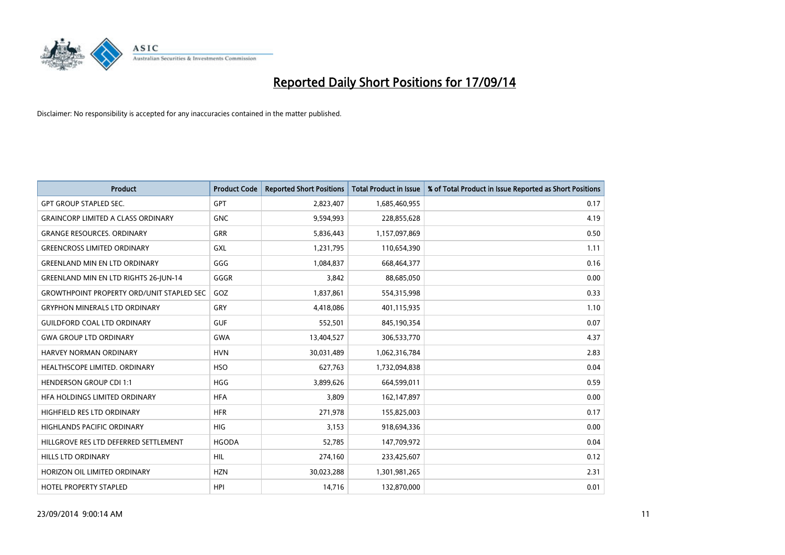

| <b>Product</b>                                   | <b>Product Code</b> | <b>Reported Short Positions</b> | <b>Total Product in Issue</b> | % of Total Product in Issue Reported as Short Positions |
|--------------------------------------------------|---------------------|---------------------------------|-------------------------------|---------------------------------------------------------|
| <b>GPT GROUP STAPLED SEC.</b>                    | <b>GPT</b>          | 2,823,407                       | 1,685,460,955                 | 0.17                                                    |
| <b>GRAINCORP LIMITED A CLASS ORDINARY</b>        | <b>GNC</b>          | 9,594,993                       | 228,855,628                   | 4.19                                                    |
| <b>GRANGE RESOURCES, ORDINARY</b>                | <b>GRR</b>          | 5,836,443                       | 1,157,097,869                 | 0.50                                                    |
| <b>GREENCROSS LIMITED ORDINARY</b>               | <b>GXL</b>          | 1,231,795                       | 110,654,390                   | 1.11                                                    |
| <b>GREENLAND MIN EN LTD ORDINARY</b>             | GGG                 | 1,084,837                       | 668,464,377                   | 0.16                                                    |
| <b>GREENLAND MIN EN LTD RIGHTS 26-JUN-14</b>     | GGGR                | 3,842                           | 88,685,050                    | 0.00                                                    |
| <b>GROWTHPOINT PROPERTY ORD/UNIT STAPLED SEC</b> | GOZ                 | 1,837,861                       | 554,315,998                   | 0.33                                                    |
| <b>GRYPHON MINERALS LTD ORDINARY</b>             | GRY                 | 4,418,086                       | 401,115,935                   | 1.10                                                    |
| <b>GUILDFORD COAL LTD ORDINARY</b>               | <b>GUF</b>          | 552,501                         | 845,190,354                   | 0.07                                                    |
| <b>GWA GROUP LTD ORDINARY</b>                    | <b>GWA</b>          | 13,404,527                      | 306,533,770                   | 4.37                                                    |
| HARVEY NORMAN ORDINARY                           | <b>HVN</b>          | 30,031,489                      | 1,062,316,784                 | 2.83                                                    |
| HEALTHSCOPE LIMITED. ORDINARY                    | <b>HSO</b>          | 627,763                         | 1,732,094,838                 | 0.04                                                    |
| <b>HENDERSON GROUP CDI 1:1</b>                   | <b>HGG</b>          | 3,899,626                       | 664,599,011                   | 0.59                                                    |
| HFA HOLDINGS LIMITED ORDINARY                    | <b>HFA</b>          | 3,809                           | 162,147,897                   | 0.00                                                    |
| HIGHFIELD RES LTD ORDINARY                       | <b>HFR</b>          | 271,978                         | 155,825,003                   | 0.17                                                    |
| <b>HIGHLANDS PACIFIC ORDINARY</b>                | <b>HIG</b>          | 3,153                           | 918,694,336                   | 0.00                                                    |
| HILLGROVE RES LTD DEFERRED SETTLEMENT            | <b>HGODA</b>        | 52,785                          | 147,709,972                   | 0.04                                                    |
| <b>HILLS LTD ORDINARY</b>                        | <b>HIL</b>          | 274,160                         | 233,425,607                   | 0.12                                                    |
| HORIZON OIL LIMITED ORDINARY                     | <b>HZN</b>          | 30,023,288                      | 1,301,981,265                 | 2.31                                                    |
| <b>HOTEL PROPERTY STAPLED</b>                    | <b>HPI</b>          | 14,716                          | 132,870,000                   | 0.01                                                    |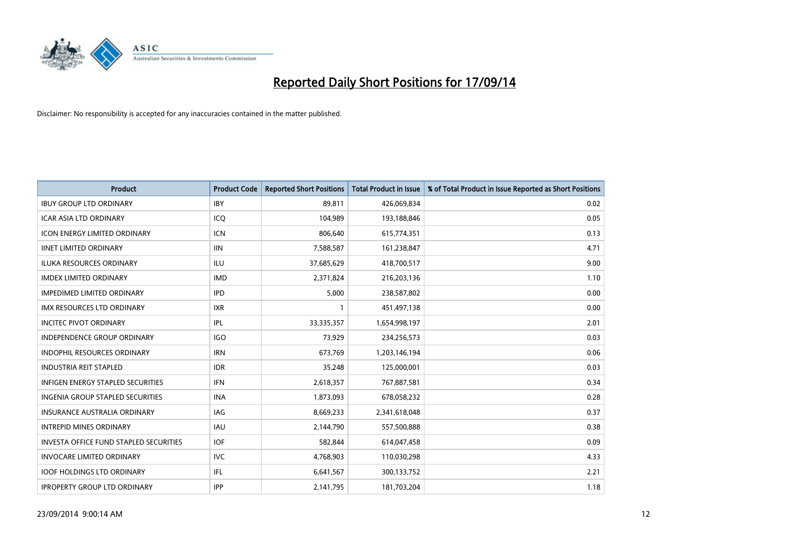

| <b>Product</b>                                | <b>Product Code</b> | <b>Reported Short Positions</b> | <b>Total Product in Issue</b> | % of Total Product in Issue Reported as Short Positions |
|-----------------------------------------------|---------------------|---------------------------------|-------------------------------|---------------------------------------------------------|
| <b>IBUY GROUP LTD ORDINARY</b>                | <b>IBY</b>          | 89,811                          | 426,069,834                   | 0.02                                                    |
| ICAR ASIA LTD ORDINARY                        | ICO                 | 104,989                         | 193,188,846                   | 0.05                                                    |
| <b>ICON ENERGY LIMITED ORDINARY</b>           | <b>ICN</b>          | 806,640                         | 615,774,351                   | 0.13                                                    |
| <b>IINET LIMITED ORDINARY</b>                 | <b>IIN</b>          | 7,588,587                       | 161,238,847                   | 4.71                                                    |
| <b>ILUKA RESOURCES ORDINARY</b>               | <b>ILU</b>          | 37,685,629                      | 418,700,517                   | 9.00                                                    |
| <b>IMDEX LIMITED ORDINARY</b>                 | <b>IMD</b>          | 2,371,824                       | 216,203,136                   | 1.10                                                    |
| <b>IMPEDIMED LIMITED ORDINARY</b>             | <b>IPD</b>          | 5.000                           | 238,587,802                   | 0.00                                                    |
| IMX RESOURCES LTD ORDINARY                    | <b>IXR</b>          | 1                               | 451,497,138                   | 0.00                                                    |
| <b>INCITEC PIVOT ORDINARY</b>                 | IPL                 | 33,335,357                      | 1,654,998,197                 | 2.01                                                    |
| <b>INDEPENDENCE GROUP ORDINARY</b>            | <b>IGO</b>          | 73,929                          | 234,256,573                   | 0.03                                                    |
| INDOPHIL RESOURCES ORDINARY                   | <b>IRN</b>          | 673,769                         | 1,203,146,194                 | 0.06                                                    |
| <b>INDUSTRIA REIT STAPLED</b>                 | <b>IDR</b>          | 35,248                          | 125,000,001                   | 0.03                                                    |
| <b>INFIGEN ENERGY STAPLED SECURITIES</b>      | <b>IFN</b>          | 2,618,357                       | 767,887,581                   | 0.34                                                    |
| <b>INGENIA GROUP STAPLED SECURITIES</b>       | <b>INA</b>          | 1,873,093                       | 678,058,232                   | 0.28                                                    |
| <b>INSURANCE AUSTRALIA ORDINARY</b>           | <b>IAG</b>          | 8,669,233                       | 2,341,618,048                 | 0.37                                                    |
| <b>INTREPID MINES ORDINARY</b>                | <b>IAU</b>          | 2,144,790                       | 557,500,888                   | 0.38                                                    |
| <b>INVESTA OFFICE FUND STAPLED SECURITIES</b> | <b>IOF</b>          | 582,844                         | 614,047,458                   | 0.09                                                    |
| <b>INVOCARE LIMITED ORDINARY</b>              | IVC                 | 4,768,903                       | 110,030,298                   | 4.33                                                    |
| <b>IOOF HOLDINGS LTD ORDINARY</b>             | IFL                 | 6,641,567                       | 300,133,752                   | 2.21                                                    |
| <b>IPROPERTY GROUP LTD ORDINARY</b>           | <b>IPP</b>          | 2,141,795                       | 181,703,204                   | 1.18                                                    |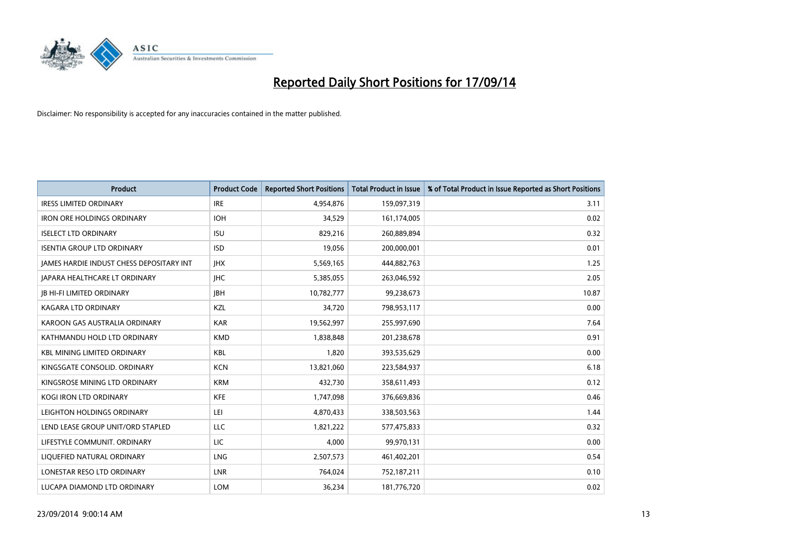

| <b>Product</b>                           | <b>Product Code</b> | <b>Reported Short Positions</b> | <b>Total Product in Issue</b> | % of Total Product in Issue Reported as Short Positions |
|------------------------------------------|---------------------|---------------------------------|-------------------------------|---------------------------------------------------------|
| <b>IRESS LIMITED ORDINARY</b>            | <b>IRE</b>          | 4,954,876                       | 159,097,319                   | 3.11                                                    |
| <b>IRON ORE HOLDINGS ORDINARY</b>        | <b>IOH</b>          | 34,529                          | 161,174,005                   | 0.02                                                    |
| <b>ISELECT LTD ORDINARY</b>              | <b>ISU</b>          | 829,216                         | 260,889,894                   | 0.32                                                    |
| <b>ISENTIA GROUP LTD ORDINARY</b>        | <b>ISD</b>          | 19,056                          | 200,000,001                   | 0.01                                                    |
| JAMES HARDIE INDUST CHESS DEPOSITARY INT | <b>IHX</b>          | 5,569,165                       | 444,882,763                   | 1.25                                                    |
| <b>JAPARA HEALTHCARE LT ORDINARY</b>     | <b>IHC</b>          | 5,385,055                       | 263,046,592                   | 2.05                                                    |
| <b>JB HI-FI LIMITED ORDINARY</b>         | <b>IBH</b>          | 10,782,777                      | 99,238,673                    | 10.87                                                   |
| KAGARA LTD ORDINARY                      | KZL                 | 34,720                          | 798,953,117                   | 0.00                                                    |
| KAROON GAS AUSTRALIA ORDINARY            | <b>KAR</b>          | 19,562,997                      | 255,997,690                   | 7.64                                                    |
| KATHMANDU HOLD LTD ORDINARY              | <b>KMD</b>          | 1,838,848                       | 201,238,678                   | 0.91                                                    |
| <b>KBL MINING LIMITED ORDINARY</b>       | <b>KBL</b>          | 1,820                           | 393,535,629                   | 0.00                                                    |
| KINGSGATE CONSOLID. ORDINARY             | <b>KCN</b>          | 13,821,060                      | 223,584,937                   | 6.18                                                    |
| KINGSROSE MINING LTD ORDINARY            | <b>KRM</b>          | 432,730                         | 358,611,493                   | 0.12                                                    |
| <b>KOGI IRON LTD ORDINARY</b>            | KFE                 | 1,747,098                       | 376,669,836                   | 0.46                                                    |
| LEIGHTON HOLDINGS ORDINARY               | LEI                 | 4,870,433                       | 338,503,563                   | 1.44                                                    |
| LEND LEASE GROUP UNIT/ORD STAPLED        | LLC                 | 1,821,222                       | 577,475,833                   | 0.32                                                    |
| LIFESTYLE COMMUNIT. ORDINARY             | LIC                 | 4,000                           | 99,970,131                    | 0.00                                                    |
| LIQUEFIED NATURAL ORDINARY               | <b>LNG</b>          | 2,507,573                       | 461,402,201                   | 0.54                                                    |
| LONESTAR RESO LTD ORDINARY               | <b>LNR</b>          | 764,024                         | 752,187,211                   | 0.10                                                    |
| LUCAPA DIAMOND LTD ORDINARY              | <b>LOM</b>          | 36,234                          | 181,776,720                   | 0.02                                                    |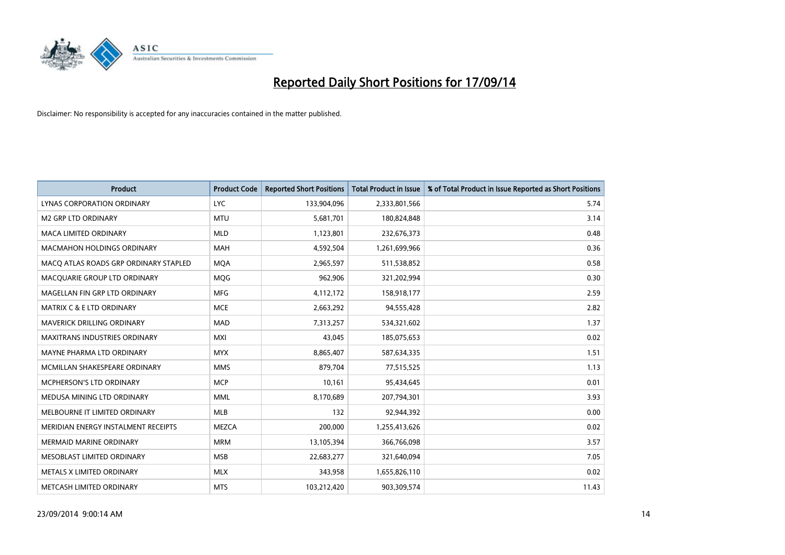

| <b>Product</b>                        | <b>Product Code</b> | <b>Reported Short Positions</b> | <b>Total Product in Issue</b> | % of Total Product in Issue Reported as Short Positions |
|---------------------------------------|---------------------|---------------------------------|-------------------------------|---------------------------------------------------------|
| <b>LYNAS CORPORATION ORDINARY</b>     | <b>LYC</b>          | 133,904,096                     | 2,333,801,566                 | 5.74                                                    |
| <b>M2 GRP LTD ORDINARY</b>            | <b>MTU</b>          | 5,681,701                       | 180,824,848                   | 3.14                                                    |
| <b>MACA LIMITED ORDINARY</b>          | <b>MLD</b>          | 1,123,801                       | 232,676,373                   | 0.48                                                    |
| MACMAHON HOLDINGS ORDINARY            | <b>MAH</b>          | 4,592,504                       | 1,261,699,966                 | 0.36                                                    |
| MACO ATLAS ROADS GRP ORDINARY STAPLED | <b>MOA</b>          | 2,965,597                       | 511,538,852                   | 0.58                                                    |
| MACQUARIE GROUP LTD ORDINARY          | MQG                 | 962,906                         | 321,202,994                   | 0.30                                                    |
| MAGELLAN FIN GRP LTD ORDINARY         | <b>MFG</b>          | 4,112,172                       | 158,918,177                   | 2.59                                                    |
| <b>MATRIX C &amp; E LTD ORDINARY</b>  | <b>MCE</b>          | 2,663,292                       | 94,555,428                    | 2.82                                                    |
| MAVERICK DRILLING ORDINARY            | <b>MAD</b>          | 7,313,257                       | 534,321,602                   | 1.37                                                    |
| <b>MAXITRANS INDUSTRIES ORDINARY</b>  | <b>MXI</b>          | 43,045                          | 185,075,653                   | 0.02                                                    |
| MAYNE PHARMA LTD ORDINARY             | <b>MYX</b>          | 8,865,407                       | 587,634,335                   | 1.51                                                    |
| MCMILLAN SHAKESPEARE ORDINARY         | <b>MMS</b>          | 879,704                         | 77,515,525                    | 1.13                                                    |
| MCPHERSON'S LTD ORDINARY              | <b>MCP</b>          | 10,161                          | 95,434,645                    | 0.01                                                    |
| MEDUSA MINING LTD ORDINARY            | <b>MML</b>          | 8,170,689                       | 207,794,301                   | 3.93                                                    |
| MELBOURNE IT LIMITED ORDINARY         | <b>MLB</b>          | 132                             | 92,944,392                    | 0.00                                                    |
| MERIDIAN ENERGY INSTALMENT RECEIPTS   | <b>MEZCA</b>        | 200,000                         | 1,255,413,626                 | 0.02                                                    |
| <b>MERMAID MARINE ORDINARY</b>        | <b>MRM</b>          | 13,105,394                      | 366,766,098                   | 3.57                                                    |
| MESOBLAST LIMITED ORDINARY            | <b>MSB</b>          | 22,683,277                      | 321,640,094                   | 7.05                                                    |
| METALS X LIMITED ORDINARY             | <b>MLX</b>          | 343,958                         | 1,655,826,110                 | 0.02                                                    |
| METCASH LIMITED ORDINARY              | <b>MTS</b>          | 103,212,420                     | 903,309,574                   | 11.43                                                   |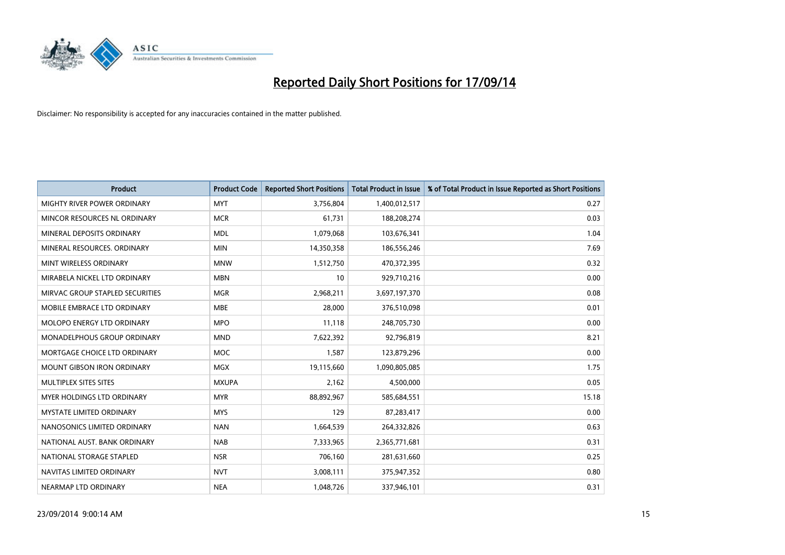

| <b>Product</b>                    | <b>Product Code</b> | <b>Reported Short Positions</b> | <b>Total Product in Issue</b> | % of Total Product in Issue Reported as Short Positions |
|-----------------------------------|---------------------|---------------------------------|-------------------------------|---------------------------------------------------------|
| MIGHTY RIVER POWER ORDINARY       | <b>MYT</b>          | 3,756,804                       | 1,400,012,517                 | 0.27                                                    |
| MINCOR RESOURCES NL ORDINARY      | <b>MCR</b>          | 61,731                          | 188,208,274                   | 0.03                                                    |
| MINERAL DEPOSITS ORDINARY         | <b>MDL</b>          | 1,079,068                       | 103,676,341                   | 1.04                                                    |
| MINERAL RESOURCES. ORDINARY       | <b>MIN</b>          | 14,350,358                      | 186,556,246                   | 7.69                                                    |
| MINT WIRELESS ORDINARY            | <b>MNW</b>          | 1,512,750                       | 470,372,395                   | 0.32                                                    |
| MIRABELA NICKEL LTD ORDINARY      | <b>MBN</b>          | 10                              | 929,710,216                   | 0.00                                                    |
| MIRVAC GROUP STAPLED SECURITIES   | <b>MGR</b>          | 2,968,211                       | 3,697,197,370                 | 0.08                                                    |
| MOBILE EMBRACE LTD ORDINARY       | <b>MBE</b>          | 28,000                          | 376,510,098                   | 0.01                                                    |
| MOLOPO ENERGY LTD ORDINARY        | <b>MPO</b>          | 11,118                          | 248,705,730                   | 0.00                                                    |
| MONADELPHOUS GROUP ORDINARY       | <b>MND</b>          | 7,622,392                       | 92,796,819                    | 8.21                                                    |
| MORTGAGE CHOICE LTD ORDINARY      | MOC                 | 1,587                           | 123,879,296                   | 0.00                                                    |
| <b>MOUNT GIBSON IRON ORDINARY</b> | <b>MGX</b>          | 19,115,660                      | 1,090,805,085                 | 1.75                                                    |
| MULTIPLEX SITES SITES             | <b>MXUPA</b>        | 2,162                           | 4,500,000                     | 0.05                                                    |
| <b>MYER HOLDINGS LTD ORDINARY</b> | <b>MYR</b>          | 88,892,967                      | 585,684,551                   | 15.18                                                   |
| <b>MYSTATE LIMITED ORDINARY</b>   | <b>MYS</b>          | 129                             | 87,283,417                    | 0.00                                                    |
| NANOSONICS LIMITED ORDINARY       | <b>NAN</b>          | 1,664,539                       | 264,332,826                   | 0.63                                                    |
| NATIONAL AUST. BANK ORDINARY      | <b>NAB</b>          | 7,333,965                       | 2,365,771,681                 | 0.31                                                    |
| NATIONAL STORAGE STAPLED          | <b>NSR</b>          | 706,160                         | 281,631,660                   | 0.25                                                    |
| NAVITAS LIMITED ORDINARY          | <b>NVT</b>          | 3,008,111                       | 375,947,352                   | 0.80                                                    |
| NEARMAP LTD ORDINARY              | <b>NEA</b>          | 1,048,726                       | 337,946,101                   | 0.31                                                    |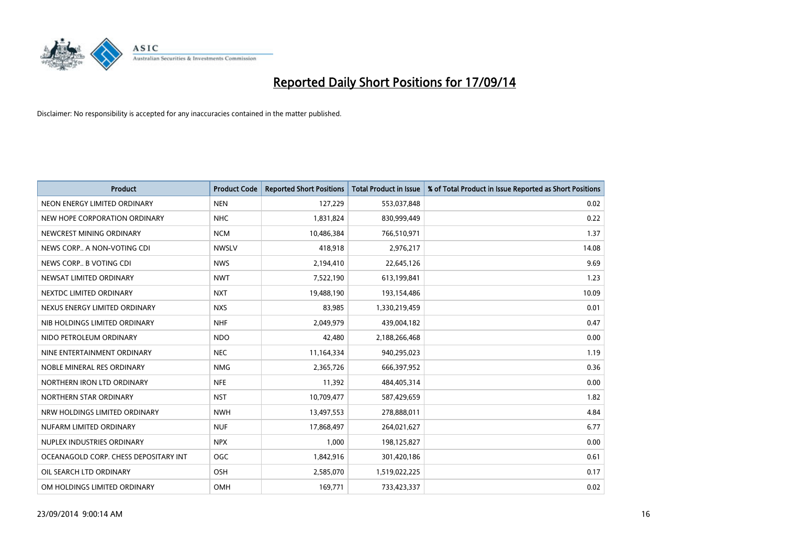

| <b>Product</b>                        | <b>Product Code</b> | <b>Reported Short Positions</b> | Total Product in Issue | % of Total Product in Issue Reported as Short Positions |
|---------------------------------------|---------------------|---------------------------------|------------------------|---------------------------------------------------------|
| NEON ENERGY LIMITED ORDINARY          | <b>NEN</b>          | 127,229                         | 553,037,848            | 0.02                                                    |
| NEW HOPE CORPORATION ORDINARY         | <b>NHC</b>          | 1,831,824                       | 830,999,449            | 0.22                                                    |
| NEWCREST MINING ORDINARY              | <b>NCM</b>          | 10,486,384                      | 766,510,971            | 1.37                                                    |
| NEWS CORP A NON-VOTING CDI            | <b>NWSLV</b>        | 418,918                         | 2,976,217              | 14.08                                                   |
| NEWS CORP B VOTING CDI                | <b>NWS</b>          | 2,194,410                       | 22,645,126             | 9.69                                                    |
| NEWSAT LIMITED ORDINARY               | <b>NWT</b>          | 7,522,190                       | 613,199,841            | 1.23                                                    |
| NEXTDC LIMITED ORDINARY               | <b>NXT</b>          | 19,488,190                      | 193,154,486            | 10.09                                                   |
| NEXUS ENERGY LIMITED ORDINARY         | <b>NXS</b>          | 83,985                          | 1,330,219,459          | 0.01                                                    |
| NIB HOLDINGS LIMITED ORDINARY         | <b>NHF</b>          | 2,049,979                       | 439,004,182            | 0.47                                                    |
| NIDO PETROLEUM ORDINARY               | <b>NDO</b>          | 42,480                          | 2,188,266,468          | 0.00                                                    |
| NINE ENTERTAINMENT ORDINARY           | <b>NEC</b>          | 11,164,334                      | 940,295,023            | 1.19                                                    |
| NOBLE MINERAL RES ORDINARY            | <b>NMG</b>          | 2,365,726                       | 666,397,952            | 0.36                                                    |
| NORTHERN IRON LTD ORDINARY            | <b>NFE</b>          | 11,392                          | 484,405,314            | 0.00                                                    |
| NORTHERN STAR ORDINARY                | <b>NST</b>          | 10,709,477                      | 587,429,659            | 1.82                                                    |
| NRW HOLDINGS LIMITED ORDINARY         | <b>NWH</b>          | 13,497,553                      | 278,888,011            | 4.84                                                    |
| NUFARM LIMITED ORDINARY               | <b>NUF</b>          | 17,868,497                      | 264,021,627            | 6.77                                                    |
| NUPLEX INDUSTRIES ORDINARY            | <b>NPX</b>          | 1,000                           | 198,125,827            | 0.00                                                    |
| OCEANAGOLD CORP. CHESS DEPOSITARY INT | <b>OGC</b>          | 1,842,916                       | 301,420,186            | 0.61                                                    |
| OIL SEARCH LTD ORDINARY               | <b>OSH</b>          | 2,585,070                       | 1,519,022,225          | 0.17                                                    |
| OM HOLDINGS LIMITED ORDINARY          | <b>OMH</b>          | 169,771                         | 733,423,337            | 0.02                                                    |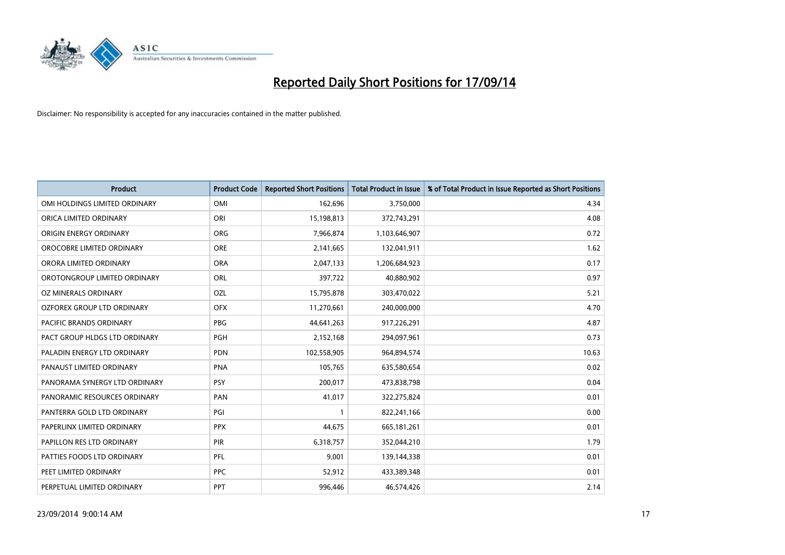

| <b>Product</b>                 | <b>Product Code</b> | <b>Reported Short Positions</b> | <b>Total Product in Issue</b> | % of Total Product in Issue Reported as Short Positions |
|--------------------------------|---------------------|---------------------------------|-------------------------------|---------------------------------------------------------|
| OMI HOLDINGS LIMITED ORDINARY  | OMI                 | 162,696                         | 3,750,000                     | 4.34                                                    |
| ORICA LIMITED ORDINARY         | ORI                 | 15,198,813                      | 372,743,291                   | 4.08                                                    |
| ORIGIN ENERGY ORDINARY         | <b>ORG</b>          | 7,966,874                       | 1,103,646,907                 | 0.72                                                    |
| OROCOBRE LIMITED ORDINARY      | <b>ORE</b>          | 2,141,665                       | 132,041,911                   | 1.62                                                    |
| ORORA LIMITED ORDINARY         | <b>ORA</b>          | 2,047,133                       | 1,206,684,923                 | 0.17                                                    |
| OROTONGROUP LIMITED ORDINARY   | <b>ORL</b>          | 397,722                         | 40,880,902                    | 0.97                                                    |
| OZ MINERALS ORDINARY           | OZL                 | 15,795,878                      | 303,470,022                   | 5.21                                                    |
| OZFOREX GROUP LTD ORDINARY     | <b>OFX</b>          | 11,270,661                      | 240,000,000                   | 4.70                                                    |
| <b>PACIFIC BRANDS ORDINARY</b> | <b>PBG</b>          | 44,641,263                      | 917,226,291                   | 4.87                                                    |
| PACT GROUP HLDGS LTD ORDINARY  | <b>PGH</b>          | 2,152,168                       | 294,097,961                   | 0.73                                                    |
| PALADIN ENERGY LTD ORDINARY    | <b>PDN</b>          | 102,558,905                     | 964,894,574                   | 10.63                                                   |
| PANAUST LIMITED ORDINARY       | <b>PNA</b>          | 105,765                         | 635,580,654                   | 0.02                                                    |
| PANORAMA SYNERGY LTD ORDINARY  | <b>PSY</b>          | 200,017                         | 473,838,798                   | 0.04                                                    |
| PANORAMIC RESOURCES ORDINARY   | PAN                 | 41,017                          | 322,275,824                   | 0.01                                                    |
| PANTERRA GOLD LTD ORDINARY     | PGI                 | $\mathbf{1}$                    | 822,241,166                   | 0.00                                                    |
| PAPERLINX LIMITED ORDINARY     | <b>PPX</b>          | 44,675                          | 665, 181, 261                 | 0.01                                                    |
| PAPILLON RES LTD ORDINARY      | PIR                 | 6,318,757                       | 352,044,210                   | 1.79                                                    |
| PATTIES FOODS LTD ORDINARY     | <b>PFL</b>          | 9,001                           | 139,144,338                   | 0.01                                                    |
| PEET LIMITED ORDINARY          | <b>PPC</b>          | 52,912                          | 433,389,348                   | 0.01                                                    |
| PERPETUAL LIMITED ORDINARY     | <b>PPT</b>          | 996,446                         | 46,574,426                    | 2.14                                                    |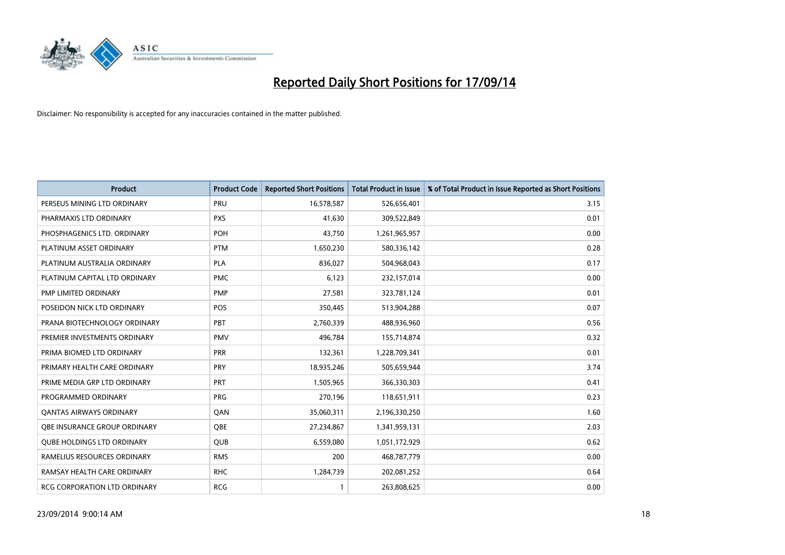

| <b>Product</b>                      | <b>Product Code</b> | <b>Reported Short Positions</b> | <b>Total Product in Issue</b> | % of Total Product in Issue Reported as Short Positions |
|-------------------------------------|---------------------|---------------------------------|-------------------------------|---------------------------------------------------------|
| PERSEUS MINING LTD ORDINARY         | PRU                 | 16,578,587                      | 526,656,401                   | 3.15                                                    |
| PHARMAXIS LTD ORDINARY              | <b>PXS</b>          | 41,630                          | 309,522,849                   | 0.01                                                    |
| PHOSPHAGENICS LTD. ORDINARY         | POH                 | 43,750                          | 1,261,965,957                 | 0.00                                                    |
| PLATINUM ASSET ORDINARY             | <b>PTM</b>          | 1,650,230                       | 580,336,142                   | 0.28                                                    |
| PLATINUM AUSTRALIA ORDINARY         | <b>PLA</b>          | 836,027                         | 504,968,043                   | 0.17                                                    |
| PLATINUM CAPITAL LTD ORDINARY       | <b>PMC</b>          | 6,123                           | 232,157,014                   | 0.00                                                    |
| PMP LIMITED ORDINARY                | <b>PMP</b>          | 27,581                          | 323,781,124                   | 0.01                                                    |
| POSEIDON NICK LTD ORDINARY          | <b>POS</b>          | 350,445                         | 513,904,288                   | 0.07                                                    |
| PRANA BIOTECHNOLOGY ORDINARY        | PBT                 | 2,760,339                       | 488,936,960                   | 0.56                                                    |
| PREMIER INVESTMENTS ORDINARY        | <b>PMV</b>          | 496,784                         | 155,714,874                   | 0.32                                                    |
| PRIMA BIOMED LTD ORDINARY           | <b>PRR</b>          | 132,361                         | 1,228,709,341                 | 0.01                                                    |
| PRIMARY HEALTH CARE ORDINARY        | <b>PRY</b>          | 18,935,246                      | 505,659,944                   | 3.74                                                    |
| PRIME MEDIA GRP LTD ORDINARY        | <b>PRT</b>          | 1,505,965                       | 366,330,303                   | 0.41                                                    |
| PROGRAMMED ORDINARY                 | <b>PRG</b>          | 270,196                         | 118,651,911                   | 0.23                                                    |
| <b>QANTAS AIRWAYS ORDINARY</b>      | QAN                 | 35,060,311                      | 2,196,330,250                 | 1.60                                                    |
| <b>QBE INSURANCE GROUP ORDINARY</b> | <b>OBE</b>          | 27,234,867                      | 1,341,959,131                 | 2.03                                                    |
| <b>QUBE HOLDINGS LTD ORDINARY</b>   | QUB                 | 6,559,080                       | 1,051,172,929                 | 0.62                                                    |
| RAMELIUS RESOURCES ORDINARY         | <b>RMS</b>          | 200                             | 468,787,779                   | 0.00                                                    |
| RAMSAY HEALTH CARE ORDINARY         | <b>RHC</b>          | 1,284,739                       | 202,081,252                   | 0.64                                                    |
| RCG CORPORATION LTD ORDINARY        | <b>RCG</b>          | 1                               | 263,808,625                   | 0.00                                                    |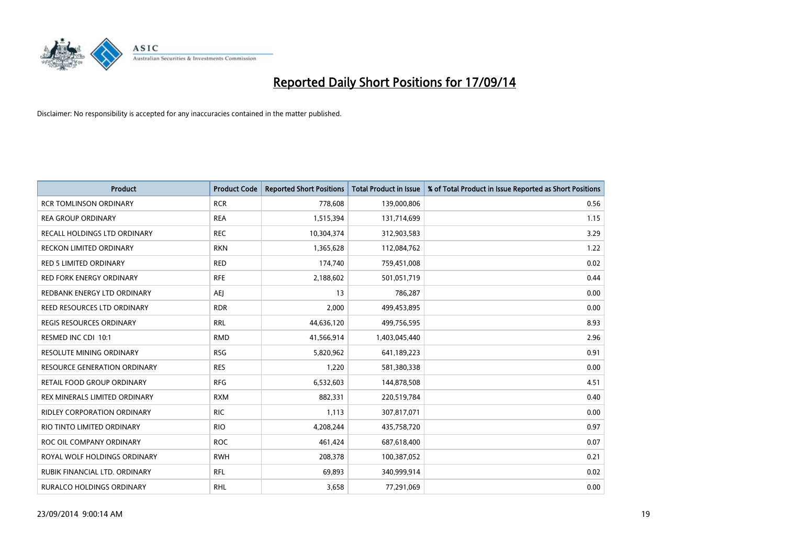

| <b>Product</b>                      | <b>Product Code</b> | <b>Reported Short Positions</b> | <b>Total Product in Issue</b> | % of Total Product in Issue Reported as Short Positions |
|-------------------------------------|---------------------|---------------------------------|-------------------------------|---------------------------------------------------------|
| <b>RCR TOMLINSON ORDINARY</b>       | <b>RCR</b>          | 778,608                         | 139,000,806                   | 0.56                                                    |
| <b>REA GROUP ORDINARY</b>           | <b>REA</b>          | 1,515,394                       | 131,714,699                   | 1.15                                                    |
| RECALL HOLDINGS LTD ORDINARY        | <b>REC</b>          | 10,304,374                      | 312,903,583                   | 3.29                                                    |
| <b>RECKON LIMITED ORDINARY</b>      | <b>RKN</b>          | 1,365,628                       | 112,084,762                   | 1.22                                                    |
| <b>RED 5 LIMITED ORDINARY</b>       | <b>RED</b>          | 174,740                         | 759,451,008                   | 0.02                                                    |
| <b>RED FORK ENERGY ORDINARY</b>     | <b>RFE</b>          | 2,188,602                       | 501,051,719                   | 0.44                                                    |
| REDBANK ENERGY LTD ORDINARY         | AEJ                 | 13                              | 786,287                       | 0.00                                                    |
| REED RESOURCES LTD ORDINARY         | <b>RDR</b>          | 2,000                           | 499,453,895                   | 0.00                                                    |
| <b>REGIS RESOURCES ORDINARY</b>     | <b>RRL</b>          | 44,636,120                      | 499,756,595                   | 8.93                                                    |
| RESMED INC CDI 10:1                 | <b>RMD</b>          | 41,566,914                      | 1,403,045,440                 | 2.96                                                    |
| RESOLUTE MINING ORDINARY            | <b>RSG</b>          | 5,820,962                       | 641,189,223                   | 0.91                                                    |
| <b>RESOURCE GENERATION ORDINARY</b> | <b>RES</b>          | 1,220                           | 581,380,338                   | 0.00                                                    |
| RETAIL FOOD GROUP ORDINARY          | <b>RFG</b>          | 6,532,603                       | 144,878,508                   | 4.51                                                    |
| REX MINERALS LIMITED ORDINARY       | <b>RXM</b>          | 882,331                         | 220,519,784                   | 0.40                                                    |
| <b>RIDLEY CORPORATION ORDINARY</b>  | <b>RIC</b>          | 1,113                           | 307,817,071                   | 0.00                                                    |
| RIO TINTO LIMITED ORDINARY          | <b>RIO</b>          | 4,208,244                       | 435,758,720                   | 0.97                                                    |
| ROC OIL COMPANY ORDINARY            | <b>ROC</b>          | 461,424                         | 687,618,400                   | 0.07                                                    |
| ROYAL WOLF HOLDINGS ORDINARY        | <b>RWH</b>          | 208,378                         | 100,387,052                   | 0.21                                                    |
| RUBIK FINANCIAL LTD. ORDINARY       | <b>RFL</b>          | 69,893                          | 340,999,914                   | 0.02                                                    |
| RURALCO HOLDINGS ORDINARY           | <b>RHL</b>          | 3,658                           | 77,291,069                    | 0.00                                                    |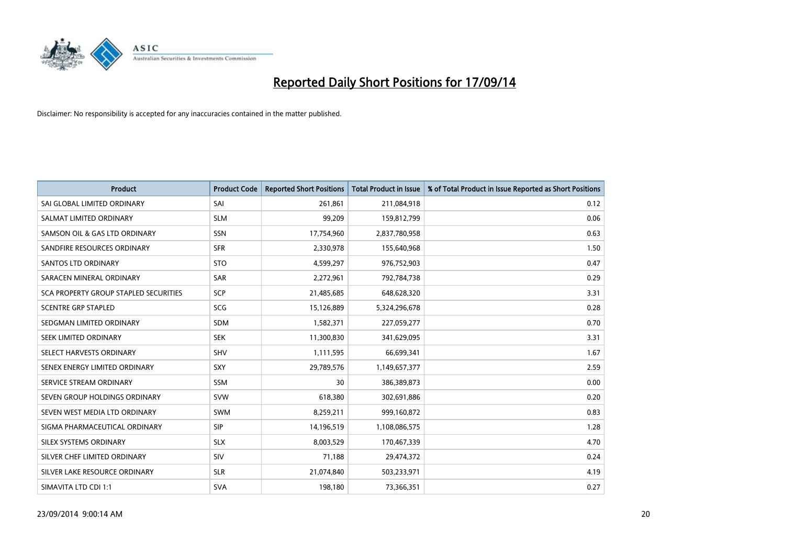

| <b>Product</b>                        | <b>Product Code</b> | <b>Reported Short Positions</b> | <b>Total Product in Issue</b> | % of Total Product in Issue Reported as Short Positions |
|---------------------------------------|---------------------|---------------------------------|-------------------------------|---------------------------------------------------------|
| SAI GLOBAL LIMITED ORDINARY           | SAI                 | 261,861                         | 211,084,918                   | 0.12                                                    |
| SALMAT LIMITED ORDINARY               | <b>SLM</b>          | 99,209                          | 159,812,799                   | 0.06                                                    |
| SAMSON OIL & GAS LTD ORDINARY         | <b>SSN</b>          | 17,754,960                      | 2,837,780,958                 | 0.63                                                    |
| SANDFIRE RESOURCES ORDINARY           | <b>SFR</b>          | 2,330,978                       | 155,640,968                   | 1.50                                                    |
| SANTOS LTD ORDINARY                   | <b>STO</b>          | 4,599,297                       | 976,752,903                   | 0.47                                                    |
| SARACEN MINERAL ORDINARY              | <b>SAR</b>          | 2,272,961                       | 792,784,738                   | 0.29                                                    |
| SCA PROPERTY GROUP STAPLED SECURITIES | <b>SCP</b>          | 21,485,685                      | 648,628,320                   | 3.31                                                    |
| <b>SCENTRE GRP STAPLED</b>            | <b>SCG</b>          | 15,126,889                      | 5,324,296,678                 | 0.28                                                    |
| SEDGMAN LIMITED ORDINARY              | <b>SDM</b>          | 1,582,371                       | 227,059,277                   | 0.70                                                    |
| SEEK LIMITED ORDINARY                 | <b>SEK</b>          | 11,300,830                      | 341,629,095                   | 3.31                                                    |
| SELECT HARVESTS ORDINARY              | SHV                 | 1,111,595                       | 66,699,341                    | 1.67                                                    |
| SENEX ENERGY LIMITED ORDINARY         | <b>SXY</b>          | 29,789,576                      | 1,149,657,377                 | 2.59                                                    |
| SERVICE STREAM ORDINARY               | <b>SSM</b>          | 30                              | 386,389,873                   | 0.00                                                    |
| SEVEN GROUP HOLDINGS ORDINARY         | <b>SVW</b>          | 618,380                         | 302,691,886                   | 0.20                                                    |
| SEVEN WEST MEDIA LTD ORDINARY         | SWM                 | 8,259,211                       | 999,160,872                   | 0.83                                                    |
| SIGMA PHARMACEUTICAL ORDINARY         | <b>SIP</b>          | 14,196,519                      | 1,108,086,575                 | 1.28                                                    |
| SILEX SYSTEMS ORDINARY                | <b>SLX</b>          | 8,003,529                       | 170,467,339                   | 4.70                                                    |
| SILVER CHEF LIMITED ORDINARY          | SIV                 | 71.188                          | 29,474,372                    | 0.24                                                    |
| SILVER LAKE RESOURCE ORDINARY         | <b>SLR</b>          | 21,074,840                      | 503,233,971                   | 4.19                                                    |
| SIMAVITA LTD CDI 1:1                  | <b>SVA</b>          | 198,180                         | 73,366,351                    | 0.27                                                    |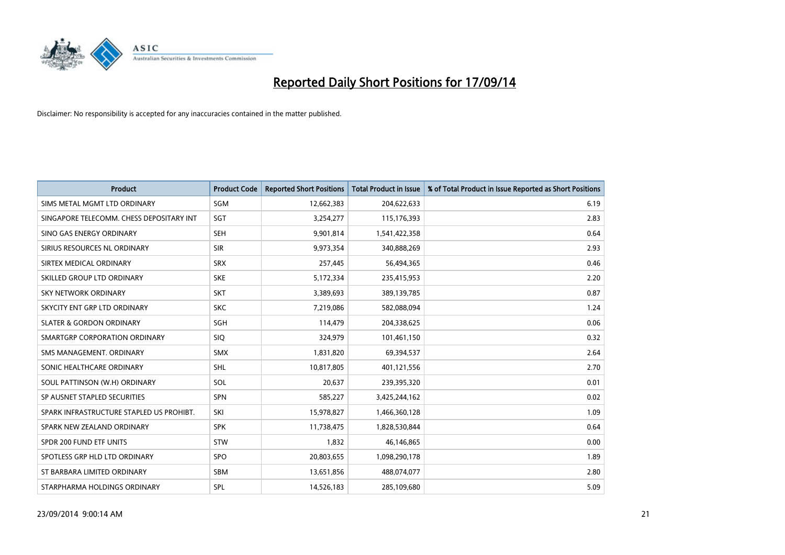

| <b>Product</b>                           | <b>Product Code</b> | <b>Reported Short Positions</b> | <b>Total Product in Issue</b> | % of Total Product in Issue Reported as Short Positions |
|------------------------------------------|---------------------|---------------------------------|-------------------------------|---------------------------------------------------------|
| SIMS METAL MGMT LTD ORDINARY             | <b>SGM</b>          | 12,662,383                      | 204,622,633                   | 6.19                                                    |
| SINGAPORE TELECOMM. CHESS DEPOSITARY INT | <b>SGT</b>          | 3,254,277                       | 115,176,393                   | 2.83                                                    |
| SINO GAS ENERGY ORDINARY                 | <b>SEH</b>          | 9,901,814                       | 1,541,422,358                 | 0.64                                                    |
| SIRIUS RESOURCES NL ORDINARY             | <b>SIR</b>          | 9,973,354                       | 340,888,269                   | 2.93                                                    |
| SIRTEX MEDICAL ORDINARY                  | <b>SRX</b>          | 257,445                         | 56,494,365                    | 0.46                                                    |
| SKILLED GROUP LTD ORDINARY               | <b>SKE</b>          | 5,172,334                       | 235,415,953                   | 2.20                                                    |
| SKY NETWORK ORDINARY                     | <b>SKT</b>          | 3,389,693                       | 389,139,785                   | 0.87                                                    |
| SKYCITY ENT GRP LTD ORDINARY             | <b>SKC</b>          | 7,219,086                       | 582,088,094                   | 1.24                                                    |
| <b>SLATER &amp; GORDON ORDINARY</b>      | SGH                 | 114,479                         | 204,338,625                   | 0.06                                                    |
| SMARTGRP CORPORATION ORDINARY            | <b>SIQ</b>          | 324,979                         | 101,461,150                   | 0.32                                                    |
| SMS MANAGEMENT. ORDINARY                 | <b>SMX</b>          | 1,831,820                       | 69,394,537                    | 2.64                                                    |
| SONIC HEALTHCARE ORDINARY                | SHL                 | 10,817,805                      | 401,121,556                   | 2.70                                                    |
| SOUL PATTINSON (W.H) ORDINARY            | SOL                 | 20,637                          | 239,395,320                   | 0.01                                                    |
| SP AUSNET STAPLED SECURITIES             | <b>SPN</b>          | 585,227                         | 3,425,244,162                 | 0.02                                                    |
| SPARK INFRASTRUCTURE STAPLED US PROHIBT. | SKI                 | 15,978,827                      | 1,466,360,128                 | 1.09                                                    |
| SPARK NEW ZEALAND ORDINARY               | <b>SPK</b>          | 11,738,475                      | 1,828,530,844                 | 0.64                                                    |
| SPDR 200 FUND ETF UNITS                  | STW                 | 1,832                           | 46,146,865                    | 0.00                                                    |
| SPOTLESS GRP HLD LTD ORDINARY            | <b>SPO</b>          | 20,803,655                      | 1,098,290,178                 | 1.89                                                    |
| ST BARBARA LIMITED ORDINARY              | <b>SBM</b>          | 13,651,856                      | 488,074,077                   | 2.80                                                    |
| STARPHARMA HOLDINGS ORDINARY             | SPL                 | 14,526,183                      | 285,109,680                   | 5.09                                                    |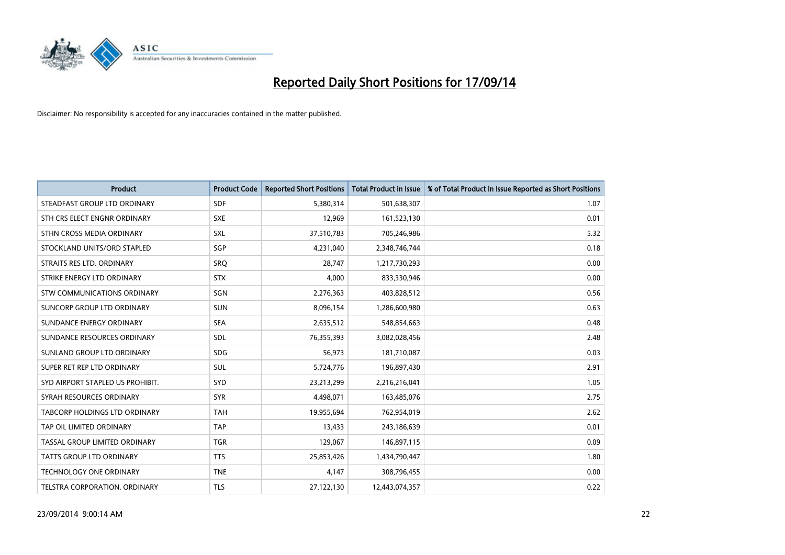

| <b>Product</b>                    | <b>Product Code</b> | <b>Reported Short Positions</b> | <b>Total Product in Issue</b> | % of Total Product in Issue Reported as Short Positions |
|-----------------------------------|---------------------|---------------------------------|-------------------------------|---------------------------------------------------------|
| STEADFAST GROUP LTD ORDINARY      | <b>SDF</b>          | 5,380,314                       | 501,638,307                   | 1.07                                                    |
| STH CRS ELECT ENGNR ORDINARY      | <b>SXE</b>          | 12,969                          | 161,523,130                   | 0.01                                                    |
| STHN CROSS MEDIA ORDINARY         | <b>SXL</b>          | 37,510,783                      | 705,246,986                   | 5.32                                                    |
| STOCKLAND UNITS/ORD STAPLED       | SGP                 | 4,231,040                       | 2,348,746,744                 | 0.18                                                    |
| STRAITS RES LTD. ORDINARY         | <b>SRO</b>          | 28,747                          | 1,217,730,293                 | 0.00                                                    |
| STRIKE ENERGY LTD ORDINARY        | <b>STX</b>          | 4,000                           | 833,330,946                   | 0.00                                                    |
| STW COMMUNICATIONS ORDINARY       | SGN                 | 2,276,363                       | 403,828,512                   | 0.56                                                    |
| <b>SUNCORP GROUP LTD ORDINARY</b> | <b>SUN</b>          | 8,096,154                       | 1,286,600,980                 | 0.63                                                    |
| SUNDANCE ENERGY ORDINARY          | <b>SEA</b>          | 2,635,512                       | 548,854,663                   | 0.48                                                    |
| SUNDANCE RESOURCES ORDINARY       | SDL                 | 76,355,393                      | 3,082,028,456                 | 2.48                                                    |
| SUNLAND GROUP LTD ORDINARY        | <b>SDG</b>          | 56,973                          | 181,710,087                   | 0.03                                                    |
| SUPER RET REP LTD ORDINARY        | SUL                 | 5,724,776                       | 196,897,430                   | 2.91                                                    |
| SYD AIRPORT STAPLED US PROHIBIT.  | SYD                 | 23,213,299                      | 2,216,216,041                 | 1.05                                                    |
| SYRAH RESOURCES ORDINARY          | <b>SYR</b>          | 4,498,071                       | 163,485,076                   | 2.75                                                    |
| TABCORP HOLDINGS LTD ORDINARY     | <b>TAH</b>          | 19,955,694                      | 762,954,019                   | 2.62                                                    |
| TAP OIL LIMITED ORDINARY          | <b>TAP</b>          | 13,433                          | 243,186,639                   | 0.01                                                    |
| TASSAL GROUP LIMITED ORDINARY     | <b>TGR</b>          | 129,067                         | 146,897,115                   | 0.09                                                    |
| <b>TATTS GROUP LTD ORDINARY</b>   | <b>TTS</b>          | 25,853,426                      | 1,434,790,447                 | 1.80                                                    |
| <b>TECHNOLOGY ONE ORDINARY</b>    | <b>TNE</b>          | 4,147                           | 308,796,455                   | 0.00                                                    |
| TELSTRA CORPORATION, ORDINARY     | <b>TLS</b>          | 27,122,130                      | 12,443,074,357                | 0.22                                                    |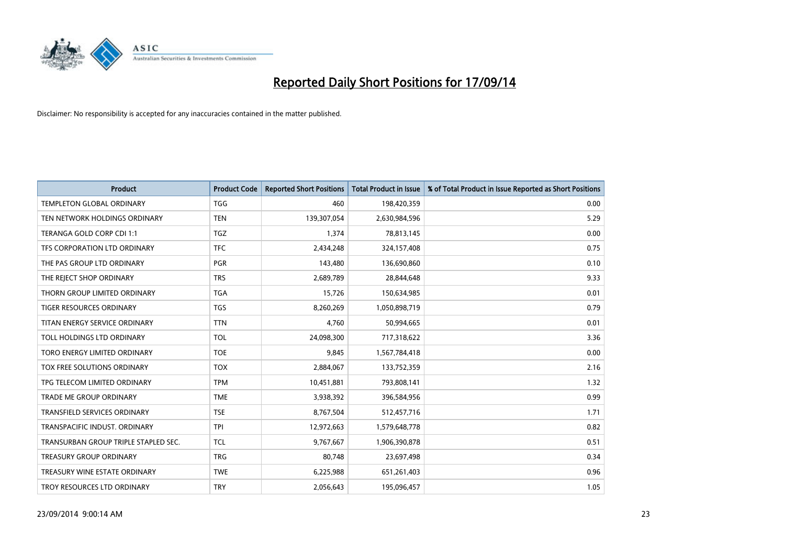

| <b>Product</b>                       | <b>Product Code</b> | <b>Reported Short Positions</b> | <b>Total Product in Issue</b> | % of Total Product in Issue Reported as Short Positions |
|--------------------------------------|---------------------|---------------------------------|-------------------------------|---------------------------------------------------------|
| <b>TEMPLETON GLOBAL ORDINARY</b>     | <b>TGG</b>          | 460                             | 198,420,359                   | 0.00                                                    |
| TEN NETWORK HOLDINGS ORDINARY        | <b>TEN</b>          | 139,307,054                     | 2,630,984,596                 | 5.29                                                    |
| TERANGA GOLD CORP CDI 1:1            | <b>TGZ</b>          | 1,374                           | 78,813,145                    | 0.00                                                    |
| TFS CORPORATION LTD ORDINARY         | <b>TFC</b>          | 2,434,248                       | 324,157,408                   | 0.75                                                    |
| THE PAS GROUP LTD ORDINARY           | <b>PGR</b>          | 143,480                         | 136,690,860                   | 0.10                                                    |
| THE REJECT SHOP ORDINARY             | <b>TRS</b>          | 2,689,789                       | 28,844,648                    | 9.33                                                    |
| THORN GROUP LIMITED ORDINARY         | TGA                 | 15,726                          | 150,634,985                   | 0.01                                                    |
| TIGER RESOURCES ORDINARY             | TGS                 | 8,260,269                       | 1,050,898,719                 | 0.79                                                    |
| TITAN ENERGY SERVICE ORDINARY        | <b>TTN</b>          | 4,760                           | 50,994,665                    | 0.01                                                    |
| TOLL HOLDINGS LTD ORDINARY           | <b>TOL</b>          | 24,098,300                      | 717,318,622                   | 3.36                                                    |
| TORO ENERGY LIMITED ORDINARY         | <b>TOE</b>          | 9,845                           | 1,567,784,418                 | 0.00                                                    |
| TOX FREE SOLUTIONS ORDINARY          | <b>TOX</b>          | 2,884,067                       | 133,752,359                   | 2.16                                                    |
| TPG TELECOM LIMITED ORDINARY         | <b>TPM</b>          | 10,451,881                      | 793,808,141                   | 1.32                                                    |
| <b>TRADE ME GROUP ORDINARY</b>       | <b>TME</b>          | 3,938,392                       | 396,584,956                   | 0.99                                                    |
| <b>TRANSFIELD SERVICES ORDINARY</b>  | <b>TSE</b>          | 8,767,504                       | 512,457,716                   | 1.71                                                    |
| TRANSPACIFIC INDUST. ORDINARY        | <b>TPI</b>          | 12,972,663                      | 1,579,648,778                 | 0.82                                                    |
| TRANSURBAN GROUP TRIPLE STAPLED SEC. | <b>TCL</b>          | 9,767,667                       | 1,906,390,878                 | 0.51                                                    |
| <b>TREASURY GROUP ORDINARY</b>       | <b>TRG</b>          | 80,748                          | 23,697,498                    | 0.34                                                    |
| TREASURY WINE ESTATE ORDINARY        | <b>TWE</b>          | 6,225,988                       | 651,261,403                   | 0.96                                                    |
| TROY RESOURCES LTD ORDINARY          | <b>TRY</b>          | 2,056,643                       | 195,096,457                   | 1.05                                                    |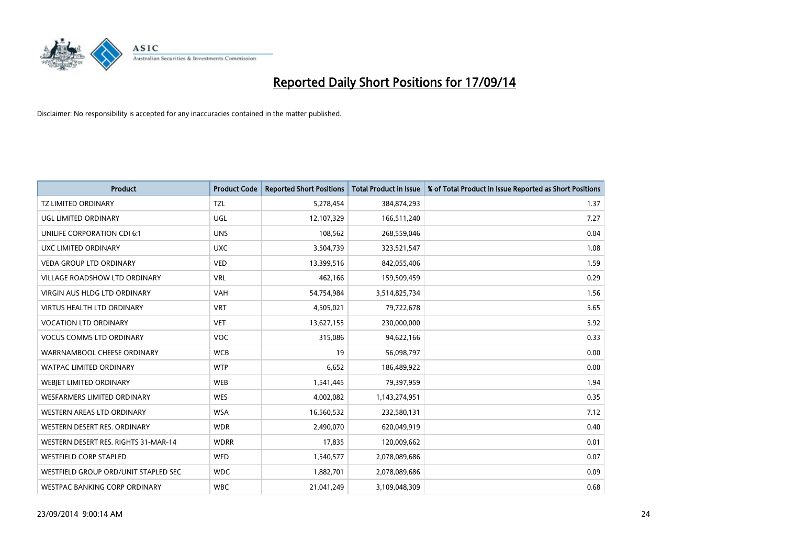

| <b>Product</b>                       | <b>Product Code</b> | <b>Reported Short Positions</b> | <b>Total Product in Issue</b> | % of Total Product in Issue Reported as Short Positions |
|--------------------------------------|---------------------|---------------------------------|-------------------------------|---------------------------------------------------------|
| <b>TZ LIMITED ORDINARY</b>           | <b>TZL</b>          | 5,278,454                       | 384,874,293                   | 1.37                                                    |
| UGL LIMITED ORDINARY                 | <b>UGL</b>          | 12,107,329                      | 166,511,240                   | 7.27                                                    |
| UNILIFE CORPORATION CDI 6:1          | <b>UNS</b>          | 108,562                         | 268,559,046                   | 0.04                                                    |
| UXC LIMITED ORDINARY                 | <b>UXC</b>          | 3,504,739                       | 323,521,547                   | 1.08                                                    |
| <b>VEDA GROUP LTD ORDINARY</b>       | <b>VED</b>          | 13,399,516                      | 842,055,406                   | 1.59                                                    |
| <b>VILLAGE ROADSHOW LTD ORDINARY</b> | <b>VRL</b>          | 462,166                         | 159,509,459                   | 0.29                                                    |
| <b>VIRGIN AUS HLDG LTD ORDINARY</b>  | <b>VAH</b>          | 54,754,984                      | 3,514,825,734                 | 1.56                                                    |
| <b>VIRTUS HEALTH LTD ORDINARY</b>    | <b>VRT</b>          | 4,505,021                       | 79,722,678                    | 5.65                                                    |
| <b>VOCATION LTD ORDINARY</b>         | <b>VET</b>          | 13,627,155                      | 230,000,000                   | 5.92                                                    |
| <b>VOCUS COMMS LTD ORDINARY</b>      | <b>VOC</b>          | 315,086                         | 94,622,166                    | 0.33                                                    |
| WARRNAMBOOL CHEESE ORDINARY          | <b>WCB</b>          | 19                              | 56,098,797                    | 0.00                                                    |
| <b>WATPAC LIMITED ORDINARY</b>       | <b>WTP</b>          | 6,652                           | 186,489,922                   | 0.00                                                    |
| WEBJET LIMITED ORDINARY              | <b>WEB</b>          | 1,541,445                       | 79,397,959                    | 1.94                                                    |
| <b>WESFARMERS LIMITED ORDINARY</b>   | <b>WES</b>          | 4,002,082                       | 1,143,274,951                 | 0.35                                                    |
| WESTERN AREAS LTD ORDINARY           | <b>WSA</b>          | 16,560,532                      | 232,580,131                   | 7.12                                                    |
| WESTERN DESERT RES. ORDINARY         | <b>WDR</b>          | 2,490,070                       | 620,049,919                   | 0.40                                                    |
| WESTERN DESERT RES. RIGHTS 31-MAR-14 | <b>WDRR</b>         | 17,835                          | 120,009,662                   | 0.01                                                    |
| <b>WESTFIELD CORP STAPLED</b>        | WFD                 | 1,540,577                       | 2,078,089,686                 | 0.07                                                    |
| WESTFIELD GROUP ORD/UNIT STAPLED SEC | <b>WDC</b>          | 1,882,701                       | 2,078,089,686                 | 0.09                                                    |
| WESTPAC BANKING CORP ORDINARY        | <b>WBC</b>          | 21,041,249                      | 3,109,048,309                 | 0.68                                                    |